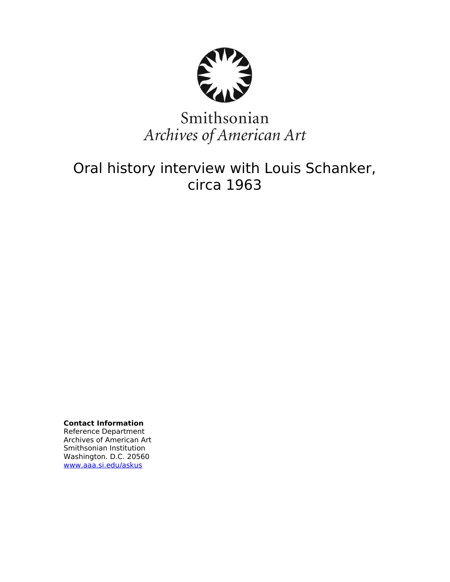

# Smithsonian Archives of American Art

## Oral history interview with Louis Schanker, circa 1963

**Contact Information** Reference Department Archives of American Art Smithsonian Institution Washington. D.C. 20560 [www.aaa.si.edu/askus](http://www.aaa.si.edu/askus)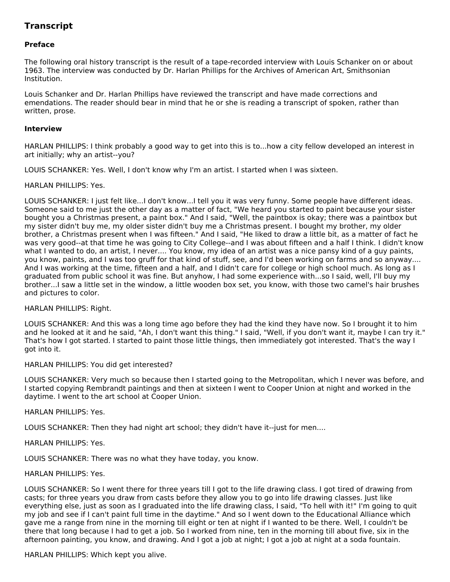## **Transcript**

## **Preface**

The following oral history transcript is the result of a tape-recorded interview with Louis Schanker on or about 1963. The interview was conducted by Dr. Harlan Phillips for the Archives of American Art, Smithsonian Institution.

Louis Schanker and Dr. Harlan Phillips have reviewed the transcript and have made corrections and emendations. The reader should bear in mind that he or she is reading a transcript of spoken, rather than written, prose.

### **Interview**

HARLAN PHILLIPS: I think probably a good way to get into this is to...how a city fellow developed an interest in art initially; why an artist--you?

LOUIS SCHANKER: Yes. Well, I don't know why I'm an artist. I started when I was sixteen.

### HARLAN PHILLIPS: Yes.

LOUIS SCHANKER: I just felt like...I don't know...I tell you it was very funny. Some people have different ideas. Someone said to me just the other day as a matter of fact, "We heard you started to paint because your sister bought you a Christmas present, a paint box." And I said, "Well, the paintbox is okay; there was a paintbox but my sister didn't buy me, my older sister didn't buy me a Christmas present. I bought my brother, my older brother, a Christmas present when I was fifteen." And I said, "He liked to draw a little bit, as a matter of fact he was very good--at that time he was going to City College--and I was about fifteen and a half I think. I didn't know what I wanted to do, an artist, I never.... You know, my idea of an artist was a nice pansy kind of a guy paints, you know, paints, and I was too gruff for that kind of stuff, see, and I'd been working on farms and so anyway.... And I was working at the time, fifteen and a half, and I didn't care for college or high school much. As long as I graduated from public school it was fine. But anyhow, I had some experience with...so I said, well, I'll buy my brother...I saw a little set in the window, a little wooden box set, you know, with those two camel's hair brushes and pictures to color.

#### HARLAN PHILLIPS: Right.

LOUIS SCHANKER: And this was a long time ago before they had the kind they have now. So I brought it to him and he looked at it and he said, "Ah, I don't want this thing." I said, "Well, if you don't want it, maybe I can try it." That's how I got started. I started to paint those little things, then immediately got interested. That's the way I got into it.

#### HARLAN PHILLIPS: You did get interested?

LOUIS SCHANKER: Very much so because then I started going to the Metropolitan, which I never was before, and I started copying Rembrandt paintings and then at sixteen I went to Cooper Union at night and worked in the daytime. I went to the art school at Cooper Union.

#### HARLAN PHILLIPS: Yes.

LOUIS SCHANKER: Then they had night art school; they didn't have it--just for men....

## HARLAN PHILLIPS: Yes.

LOUIS SCHANKER: There was no what they have today, you know.

## HARLAN PHILLIPS: Yes.

LOUIS SCHANKER: So I went there for three years till I got to the life drawing class. I got tired of drawing from casts; for three years you draw from casts before they allow you to go into life drawing classes. Just like everything else, just as soon as I graduated into the life drawing class, I said, "To hell with it!" I'm going to quit my job and see if I can't paint full time in the daytime." And so I went down to the Educational Alliance which gave me a range from nine in the morning till eight or ten at night if I wanted to be there. Well, I couldn't be there that long because I had to get a job. So I worked from nine, ten in the morning till about five, six in the afternoon painting, you know, and drawing. And I got a job at night; I got a job at night at a soda fountain.

HARLAN PHILLIPS: Which kept you alive.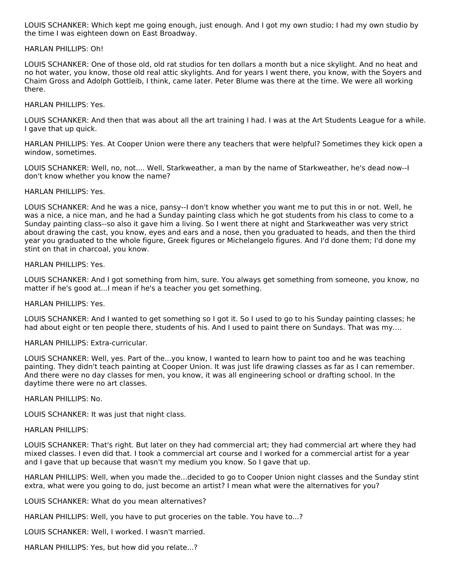LOUIS SCHANKER: Which kept me going enough, just enough. And I got my own studio; I had my own studio by the time I was eighteen down on East Broadway.

#### HARLAN PHILLIPS: Oh!

LOUIS SCHANKER: One of those old, old rat studios for ten dollars a month but a nice skylight. And no heat and no hot water, you know, those old real attic skylights. And for years I went there, you know, with the Soyers and Chaim Gross and Adolph Gottleib, I think, came later. Peter Blume was there at the time. We were all working there.

## HARLAN PHILLIPS: Yes.

LOUIS SCHANKER: And then that was about all the art training I had. I was at the Art Students League for a while. I gave that up quick.

HARLAN PHILLIPS: Yes. At Cooper Union were there any teachers that were helpful? Sometimes they kick open a window, sometimes.

LOUIS SCHANKER: Well, no, not.... Well, Starkweather, a man by the name of Starkweather, he's dead now--I don't know whether you know the name?

### HARLAN PHILLIPS: Yes.

LOUIS SCHANKER: And he was a nice, pansy--I don't know whether you want me to put this in or not. Well, he was a nice, a nice man, and he had a Sunday painting class which he got students from his class to come to a Sunday painting class--so also it gave him a living. So I went there at night and Starkweather was very strict about drawing the cast, you know, eyes and ears and a nose, then you graduated to heads, and then the third year you graduated to the whole figure, Greek figures or Michelangelo figures. And I'd done them; I'd done my stint on that in charcoal, you know.

### HARLAN PHILLIPS: Yes.

LOUIS SCHANKER: And I got something from him, sure. You always get something from someone, you know, no matter if he's good at...I mean if he's a teacher you get something.

## HARLAN PHILLIPS: Yes.

LOUIS SCHANKER: And I wanted to get something so I got it. So I used to go to his Sunday painting classes; he had about eight or ten people there, students of his. And I used to paint there on Sundays. That was my....

## HARLAN PHILLIPS: Extra-curricular.

LOUIS SCHANKER: Well, yes. Part of the...you know, I wanted to learn how to paint too and he was teaching painting. They didn't teach painting at Cooper Union. It was just life drawing classes as far as I can remember. And there were no day classes for men, you know, it was all engineering school or drafting school. In the daytime there were no art classes.

#### HARLAN PHILLIPS: No.

LOUIS SCHANKER: It was just that night class.

#### HARLAN PHILLIPS:

LOUIS SCHANKER: That's right. But later on they had commercial art; they had commercial art where they had mixed classes. I even did that. I took a commercial art course and I worked for a commercial artist for a year and I gave that up because that wasn't my medium you know. So I gave that up.

HARLAN PHILLIPS: Well, when you made the...decided to go to Cooper Union night classes and the Sunday stint extra, what were you going to do, just become an artist? I mean what were the alternatives for you?

LOUIS SCHANKER: What do you mean alternatives?

HARLAN PHILLIPS: Well, you have to put groceries on the table. You have to...?

LOUIS SCHANKER: Well, I worked. I wasn't married.

HARLAN PHILLIPS: Yes, but how did you relate...?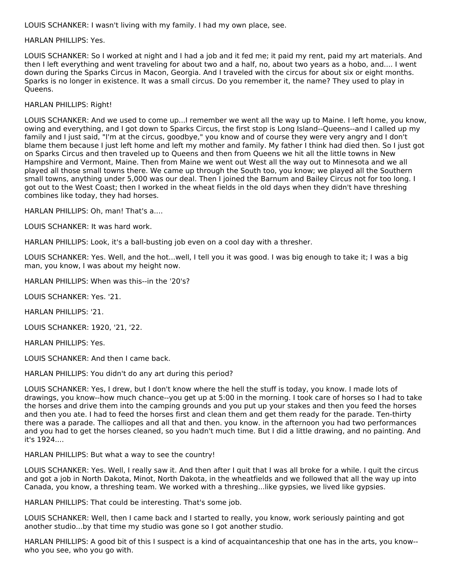LOUIS SCHANKER: I wasn't living with my family. I had my own place, see.

## HARLAN PHILLIPS: Yes.

LOUIS SCHANKER: So I worked at night and I had a job and it fed me; it paid my rent, paid my art materials. And then I left everything and went traveling for about two and a half, no, about two years as a hobo, and.... I went down during the Sparks Circus in Macon, Georgia. And I traveled with the circus for about six or eight months. Sparks is no longer in existence. It was a small circus. Do you remember it, the name? They used to play in Queens.

## HARLAN PHILLIPS: Right!

LOUIS SCHANKER: And we used to come up...I remember we went all the way up to Maine. I left home, you know, owing and everything, and I got down to Sparks Circus, the first stop is Long Island--Queens--and I called up my family and I just said, "I'm at the circus, goodbye," you know and of course they were very angry and I don't blame them because I just left home and left my mother and family. My father I think had died then. So I just got on Sparks Circus and then traveled up to Queens and then from Queens we hit all the little towns in New Hampshire and Vermont, Maine. Then from Maine we went out West all the way out to Minnesota and we all played all those small towns there. We came up through the South too, you know; we played all the Southern small towns, anything under 5,000 was our deal. Then I joined the Barnum and Bailey Circus not for too long. I got out to the West Coast; then I worked in the wheat fields in the old days when they didn't have threshing combines like today, they had horses.

HARLAN PHILLIPS: Oh, man! That's a....

LOUIS SCHANKER: It was hard work.

HARLAN PHILLIPS: Look, it's a ball-busting job even on a cool day with a thresher.

LOUIS SCHANKER: Yes. Well, and the hot...well, I tell you it was good. I was big enough to take it; I was a big man, you know, I was about my height now.

HARLAN PHILLIPS: When was this--in the '20's?

LOUIS SCHANKER: Yes. '21.

HARLAN PHILLIPS: '21.

LOUIS SCHANKER: 1920, '21, '22.

HARLAN PHILLIPS: Yes.

LOUIS SCHANKER: And then I came back.

HARLAN PHILLIPS: You didn't do any art during this period?

LOUIS SCHANKER: Yes, I drew, but I don't know where the hell the stuff is today, you know. I made lots of drawings, you know--how much chance--you get up at 5:00 in the morning. I took care of horses so I had to take the horses and drive them into the camping grounds and you put up your stakes and then you feed the horses and then you ate. I had to feed the horses first and clean them and get them ready for the parade. Ten-thirty there was a parade. The calliopes and all that and then. you know. in the afternoon you had two performances and you had to get the horses cleaned, so you hadn't much time. But I did a little drawing, and no painting. And it's 1924....

HARLAN PHILLIPS: But what a way to see the country!

LOUIS SCHANKER: Yes. Well, I really saw it. And then after I quit that I was all broke for a while. I quit the circus and got a job in North Dakota, Minot, North Dakota, in the wheatfields and we followed that all the way up into Canada, you know, a threshing team. We worked with a threshing...like gypsies, we lived like gypsies.

HARLAN PHILLIPS: That could be interesting. That's some job.

LOUIS SCHANKER: Well, then I came back and I started to really, you know, work seriously painting and got another studio...by that time my studio was gone so I got another studio.

HARLAN PHILLIPS: A good bit of this I suspect is a kind of acquaintanceship that one has in the arts, you know- who you see, who you go with.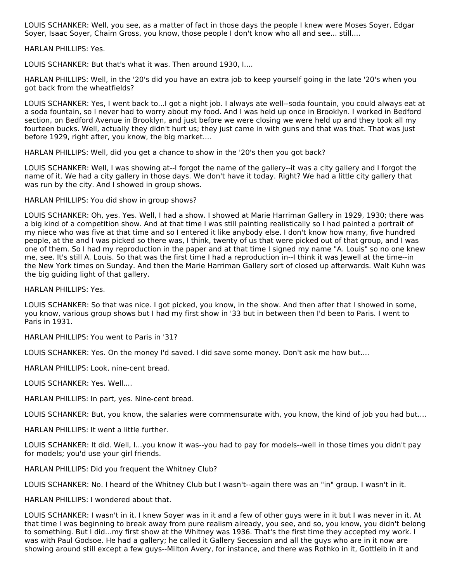LOUIS SCHANKER: Well, you see, as a matter of fact in those days the people I knew were Moses Soyer, Edgar Soyer, Isaac Soyer, Chaim Gross, you know, those people I don't know who all and see... still....

HARLAN PHILLIPS: Yes.

LOUIS SCHANKER: But that's what it was. Then around 1930, I....

HARLAN PHILLIPS: Well, in the '20's did you have an extra job to keep yourself going in the late '20's when you got back from the wheatfields?

LOUIS SCHANKER: Yes, I went back to...I got a night job. I always ate well--soda fountain, you could always eat at a soda fountain, so I never had to worry about my food. And I was held up once in Brooklyn. I worked in Bedford section, on Bedford Avenue in Brooklyn, and just before we were closing we were held up and they took all my fourteen bucks. Well, actually they didn't hurt us; they just came in with guns and that was that. That was just before 1929, right after, you know, the big market....

HARLAN PHILLIPS: Well, did you get a chance to show in the '20's then you got back?

LOUIS SCHANKER: Well, I was showing at--I forgot the name of the gallery--it was a city gallery and I forgot the name of it. We had a city gallery in those days. We don't have it today. Right? We had a little city gallery that was run by the city. And I showed in group shows.

HARLAN PHILLIPS: You did show in group shows?

LOUIS SCHANKER: Oh, yes. Yes. Well, I had a show. I showed at Marie Harriman Gallery in 1929, 1930; there was a big kind of a competition show. And at that time I was still painting realistically so I had painted a portrait of my niece who was five at that time and so I entered it like anybody else. I don't know how many, five hundred people, at the and I was picked so there was, I think, twenty of us that were picked out of that group, and I was one of them. So I had my reproduction in the paper and at that time I signed my name "A. Louis" so no one knew me, see. It's still A. Louis. So that was the first time I had a reproduction in--I think it was Jewell at the time--in the New York times on Sunday. And then the Marie Harriman Gallery sort of closed up afterwards. Walt Kuhn was the big guiding light of that gallery.

HARLAN PHILLIPS: Yes.

LOUIS SCHANKER: So that was nice. I got picked, you know, in the show. And then after that I showed in some, you know, various group shows but I had my first show in '33 but in between then I'd been to Paris. I went to Paris in 1931.

HARLAN PHILLIPS: You went to Paris in '31?

LOUIS SCHANKER: Yes. On the money I'd saved. I did save some money. Don't ask me how but....

HARLAN PHILLIPS: Look, nine-cent bread.

LOUIS SCHANKER: Yes. Well....

HARLAN PHILLIPS: In part, yes. Nine-cent bread.

LOUIS SCHANKER: But, you know, the salaries were commensurate with, you know, the kind of job you had but....

HARLAN PHILLIPS: It went a little further.

LOUIS SCHANKER: It did. Well, I...you know it was--you had to pay for models--well in those times you didn't pay for models; you'd use your girl friends.

HARLAN PHILLIPS: Did you frequent the Whitney Club?

LOUIS SCHANKER: No. I heard of the Whitney Club but I wasn't--again there was an "in" group. I wasn't in it.

HARLAN PHILLIPS: I wondered about that.

LOUIS SCHANKER: I wasn't in it. I knew Soyer was in it and a few of other guys were in it but I was never in it. At that time I was beginning to break away from pure realism already, you see, and so, you know, you didn't belong to something. But I did...my first show at the Whitney was 1936. That's the first time they accepted my work. I was with Paul Godsoe. He had a gallery; he called it Gallery Secession and all the guys who are in it now are showing around still except a few guys--Milton Avery, for instance, and there was Rothko in it, Gottleib in it and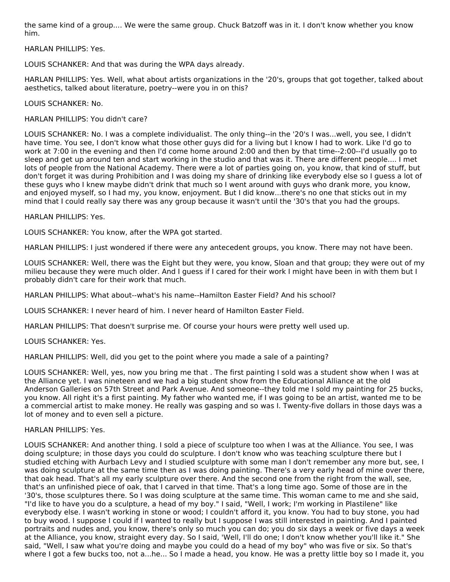the same kind of a group.... We were the same group. Chuck Batzoff was in it. I don't know whether you know him.

HARLAN PHILLIPS: Yes.

LOUIS SCHANKER: And that was during the WPA days already.

HARLAN PHILLIPS: Yes. Well, what about artists organizations in the '20's, groups that got together, talked about aesthetics, talked about literature, poetry--were you in on this?

LOUIS SCHANKER: No.

HARLAN PHILLIPS: You didn't care?

LOUIS SCHANKER: No. I was a complete individualist. The only thing--in the '20's I was...well, you see, I didn't have time. You see, I don't know what those other guys did for a living but I know I had to work. Like I'd go to work at 7:00 in the evening and then I'd come home around 2:00 and then by that time--2:00--I'd usually go to sleep and get up around ten and start working in the studio and that was it. There are different people.... I met lots of people from the National Academy. There were a lot of parties going on, you know, that kind of stuff, but don't forget it was during Prohibition and I was doing my share of drinking like everybody else so I guess a lot of these guys who I knew maybe didn't drink that much so I went around with guys who drank more, you know, and enjoyed myself, so I had my, you know, enjoyment. But I did know...there's no one that sticks out in my mind that I could really say there was any group because it wasn't until the '30's that you had the groups.

HARLAN PHILLIPS: Yes.

LOUIS SCHANKER: You know, after the WPA got started.

HARLAN PHILLIPS: I just wondered if there were any antecedent groups, you know. There may not have been.

LOUIS SCHANKER: Well, there was the Eight but they were, you know, Sloan and that group; they were out of my milieu because they were much older. And I guess if I cared for their work I might have been in with them but I probably didn't care for their work that much.

HARLAN PHILLIPS: What about--what's his name--Hamilton Easter Field? And his school?

LOUIS SCHANKER: I never heard of him. I never heard of Hamilton Easter Field.

HARLAN PHILLIPS: That doesn't surprise me. Of course your hours were pretty well used up.

LOUIS SCHANKER: Yes.

HARLAN PHILLIPS: Well, did you get to the point where you made a sale of a painting?

LOUIS SCHANKER: Well, yes, now you bring me that . The first painting I sold was a student show when I was at the Alliance yet. I was nineteen and we had a big student show from the Educational Alliance at the old Anderson Galleries on 57th Street and Park Avenue. And someone--they told me I sold my painting for 25 bucks, you know. All right it's a first painting. My father who wanted me, if I was going to be an artist, wanted me to be a commercial artist to make money. He really was gasping and so was I. Twenty-five dollars in those days was a lot of money and to even sell a picture.

## HARLAN PHILLIPS: Yes.

LOUIS SCHANKER: And another thing. I sold a piece of sculpture too when I was at the Alliance. You see, I was doing sculpture; in those days you could do sculpture. I don't know who was teaching sculpture there but I studied etching with Aurbach Levy and I studied sculpture with some man I don't remember any more but, see, I was doing sculpture at the same time then as I was doing painting. There's a very early head of mine over there, that oak head. That's all my early sculpture over there. And the second one from the right from the wall, see, that's an unfinished piece of oak, that I carved in that time. That's a long time ago. Some of those are in the '30's, those sculptures there. So I was doing sculpture at the same time. This woman came to me and she said, "I'd like to have you do a sculpture, a head of my boy." I said, "Well, I work; I'm working in Plastilene" like everybody else. I wasn't working in stone or wood; I couldn't afford it, you know. You had to buy stone, you had to buy wood. I suppose I could if I wanted to really but I suppose I was still interested in painting. And I painted portraits and nudes and, you know, there's only so much you can do; you do six days a week or five days a week at the Alliance, you know, straight every day. So I said, 'Well, I'll do one; I don't know whether you'll like it." She said, "Well, I saw what you're doing and maybe you could do a head of my boy" who was five or six. So that's where I got a few bucks too, not a...he... So I made a head, you know. He was a pretty little boy so I made it, you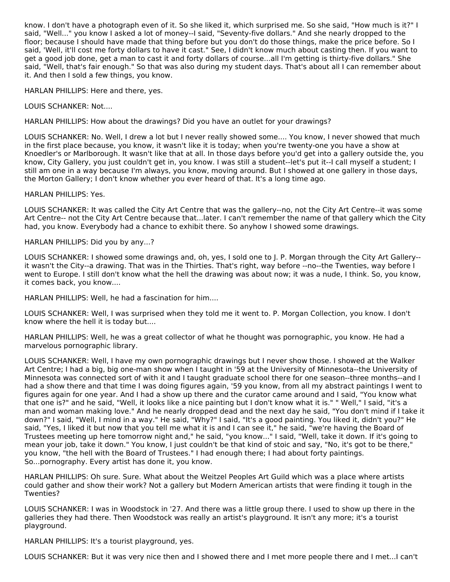know. I don't have a photograph even of it. So she liked it, which surprised me. So she said, "How much is it?" I said, "Well..." you know I asked a lot of money--I said, "Seventy-five dollars." And she nearly dropped to the floor; because I should have made that thing before but you don't do those things, make the price before. So I said, 'Well, it'll cost me forty dollars to have it cast." See, I didn't know much about casting then. If you want to get a good job done, get a man to cast it and forty dollars of course...all I'm getting is thirty-five dollars." She said, "Well, that's fair enough." So that was also during my student days. That's about all I can remember about it. And then I sold a few things, you know.

HARLAN PHILLIPS: Here and there, yes.

LOUIS SCHANKER: Not....

HARLAN PHILLIPS: How about the drawings? Did you have an outlet for your drawings?

LOUIS SCHANKER: No. Well, I drew a lot but I never really showed some.... You know, I never showed that much in the first place because, you know, it wasn't like it is today; when you're twenty-one you have a show at Knoedler's or Marlborough. It wasn't like that at all. In those days before you'd get into a gallery outside the, you know, City Gallery, you just couldn't get in, you know. I was still a student--let's put it--I call myself a student; I still am one in a way because I'm always, you know, moving around. But I showed at one gallery in those days, the Morton Gallery; I don't know whether you ever heard of that. It's a long time ago.

HARLAN PHILLIPS: Yes.

LOUIS SCHANKER: It was called the City Art Centre that was the gallery--no, not the City Art Centre--it was some Art Centre-- not the City Art Centre because that...later. I can't remember the name of that gallery which the City had, you know. Everybody had a chance to exhibit there. So anyhow I showed some drawings.

HARLAN PHILLIPS: Did you by any...?

LOUIS SCHANKER: I showed some drawings and, oh, yes, I sold one to J. P. Morgan through the City Art Gallery- it wasn't the City--a drawing. That was in the Thirties. That's right, way before --no--the Twenties, way before I went to Europe. I still don't know what the hell the drawing was about now; it was a nude, I think. So, you know, it comes back, you know....

HARLAN PHILLIPS: Well, he had a fascination for him....

LOUIS SCHANKER: Well, I was surprised when they told me it went to. P. Morgan Collection, you know. I don't know where the hell it is today but....

HARLAN PHILLIPS: Well, he was a great collector of what he thought was pornographic, you know. He had a marvelous pornographic library.

LOUIS SCHANKER: Well, I have my own pornographic drawings but I never show those. I showed at the Walker Art Centre; I had a big, big one-man show when I taught in '59 at the University of Minnesota--the University of Minnesota was connected sort of with it and I taught graduate school there for one season--three months--and I had a show there and that time I was doing figures again, '59 you know, from all my abstract paintings I went to figures again for one year. And I had a show up there and the curator came around and I said, "You know what that one is?" and he said, "Well, it looks like a nice painting but I don't know what it is." " Well," I said, "it's a man and woman making love." And he nearly dropped dead and the next day he said, "You don't mind if I take it down?" I said, "Well, I mind in a way." He said, "Why?" I said, "It's a good painting. You liked it, didn't you?" He said, "Yes, I liked it but now that you tell me what it is and I can see it," he said, "we're having the Board of Trustees meeting up here tomorrow night and," he said, "you know..." I said, "Well, take it down. If it's going to mean your job, take it down." You know, I just couldn't be that kind of stoic and say, "No, it's got to be there," you know, "the hell with the Board of Trustees." I had enough there; I had about forty paintings. So...pornography. Every artist has done it, you know.

HARLAN PHILLIPS: Oh sure. Sure. What about the Weitzel Peoples Art Guild which was a place where artists could gather and show their work? Not a gallery but Modern American artists that were finding it tough in the Twenties?

LOUIS SCHANKER: I was in Woodstock in '27. And there was a little group there. I used to show up there in the galleries they had there. Then Woodstock was really an artist's playground. It isn't any more; it's a tourist playground.

HARLAN PHILLIPS: It's a tourist playground, yes.

LOUIS SCHANKER: But it was very nice then and I showed there and I met more people there and I met...I can't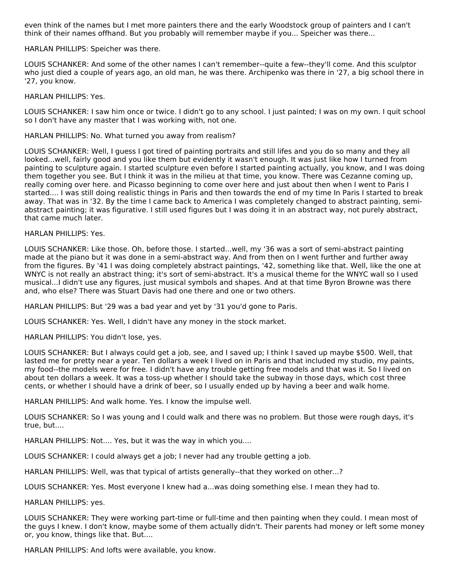even think of the names but I met more painters there and the early Woodstock group of painters and I can't think of their names offhand. But you probably will remember maybe if you... Speicher was there...

HARLAN PHILLIPS: Speicher was there.

LOUIS SCHANKER: And some of the other names I can't remember--quite a few--they'll come. And this sculptor who just died a couple of years ago, an old man, he was there. Archipenko was there in '27, a big school there in '27, you know.

HARLAN PHILLIPS: Yes.

LOUIS SCHANKER: I saw him once or twice. I didn't go to any school. I just painted; I was on my own. I quit school so I don't have any master that I was working with, not one.

HARLAN PHILLIPS: No. What turned you away from realism?

LOUIS SCHANKER: Well, I guess I got tired of painting portraits and still lifes and you do so many and they all looked...well, fairly good and you like them but evidently it wasn't enough. It was just like how I turned from painting to sculpture again. I started sculpture even before I started painting actually, you know, and I was doing them together you see. But I think it was in the milieu at that time, you know. There was Cezanne coming up, really coming over here. and Picasso beginning to come over here and just about then when I went to Paris I started.... I was still doing realistic things in Paris and then towards the end of my time In Paris I started to break away. That was in '32. By the time I came back to America I was completely changed to abstract painting, semiabstract painting; it was figurative. I still used figures but I was doing it in an abstract way, not purely abstract, that came much later.

HARLAN PHILLIPS: Yes.

LOUIS SCHANKER: Like those. Oh, before those. I started...well, my '36 was a sort of semi-abstract painting made at the piano but it was done in a semi-abstract way. And from then on I went further and further away from the figures. By '41 I was doing completely abstract paintings, '42, something like that. Well, like the one at WNYC is not really an abstract thing; it's sort of semi-abstract. It's a musical theme for the WNYC wall so I used musical...I didn't use any figures, just musical symbols and shapes. And at that time Byron Browne was there and, who else? There was Stuart Davis had one there and one or two others.

HARLAN PHILLIPS: But '29 was a bad year and yet by '31 you'd gone to Paris.

LOUIS SCHANKER: Yes. Well, I didn't have any money in the stock market.

HARLAN PHILLIPS: You didn't lose, yes.

LOUIS SCHANKER: But I always could get a job, see, and I saved up; I think I saved up maybe \$500. Well, that lasted me for pretty near a year. Ten dollars a week I lived on in Paris and that included my studio, my paints, my food--the models were for free. I didn't have any trouble getting free models and that was it. So I lived on about ten dollars a week. It was a toss-up whether I should take the subway in those days, which cost three cents, or whether I should have a drink of beer, so I usually ended up by having a beer and walk home.

HARLAN PHILLIPS: And walk home. Yes. I know the impulse well.

LOUIS SCHANKER: So I was young and I could walk and there was no problem. But those were rough days, it's true, but....

HARLAN PHILLIPS: Not.... Yes, but it was the way in which you....

LOUIS SCHANKER: I could always get a job; I never had any trouble getting a job.

HARLAN PHILLIPS: Well, was that typical of artists generally--that they worked on other...?

LOUIS SCHANKER: Yes. Most everyone I knew had a...was doing something else. I mean they had to.

HARLAN PHILLIPS: yes.

LOUIS SCHANKER: They were working part-time or full-time and then painting when they could. I mean most of the guys I knew. I don't know, maybe some of them actually didn't. Their parents had money or left some money or, you know, things like that. But....

HARLAN PHILLIPS: And lofts were available, you know.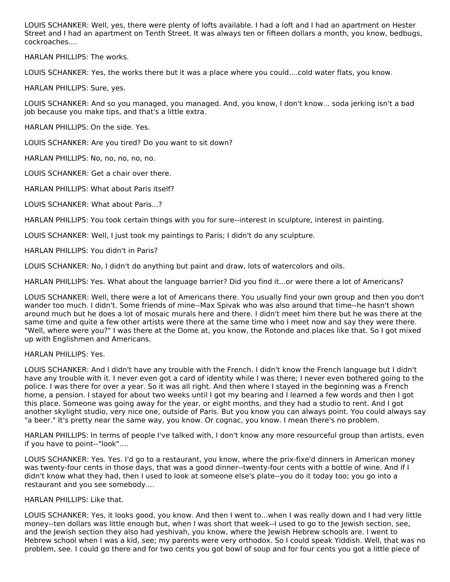LOUIS SCHANKER: Well, yes, there were plenty of lofts available. I had a loft and I had an apartment on Hester Street and I had an apartment on Tenth Street. It was always ten or fifteen dollars a month, you know, bedbugs, cockroaches....

HARLAN PHILLIPS: The works.

LOUIS SCHANKER: Yes, the works there but it was a place where you could....cold water flats, you know.

HARLAN PHILLIPS: Sure, yes.

LOUIS SCHANKER: And so you managed, you managed. And, you know, I don't know... soda jerking isn't a bad job because you make tips, and that's a little extra.

HARLAN PHILLIPS: On the side. Yes.

LOUIS SCHANKER: Are you tired? Do you want to sit down?

HARLAN PHILLIPS: No, no, no, no, no.

LOUIS SCHANKER: Get a chair over there.

HARLAN PHILLIPS: What about Paris itself?

LOUIS SCHANKER: What about Paris...?

HARLAN PHILLIPS: You took certain things with you for sure--interest in sculpture, interest in painting.

LOUIS SCHANKER: Well, I just took my paintings to Paris; I didn't do any sculpture.

HARLAN PHILLIPS: You didn't in Paris?

LOUIS SCHANKER: No, I didn't do anything but paint and draw, lots of watercolors and oils.

HARLAN PHILLIPS: Yes. What about the language barrier? Did you find it...or were there a lot of Americans?

LOUIS SCHANKER: Well, there were a lot of Americans there. You usually find your own group and then you don't wander too much. I didn't. Some friends of mine--Max Spivak who was also around that time--he hasn't shown around much but he does a lot of mosaic murals here and there. I didn't meet him there but he was there at the same time and quite a few other artists were there at the same time who I meet now and say they were there. "Well, where were you?" I was there at the Dome at, you know, the Rotonde and places like that. So I got mixed up with Englishmen and Americans.

## HARLAN PHILLIPS: Yes.

LOUIS SCHANKER: And I didn't have any trouble with the French. I didn't know the French language but I didn't have any trouble with it. I never even got a card of identity while I was there; I never even bothered going to the police. I was there for over a year. So it was all right. And then where I stayed in the beginning was a French home, a pension. I stayed for about two weeks until I got my bearing and I learned a few words and then I got this place. Someone was going away for the year, or eight months, and they had a studio to rent. And I got another skylight studio, very nice one, outside of Paris. But you know you can always point. You could always say "a beer." It's pretty near the same way, you know. Or cognac, you know. I mean there's no problem.

HARLAN PHILLIPS: In terms of people I've talked with, I don't know any more resourceful group than artists, even if you have to point--"look"....

LOUIS SCHANKER: Yes. Yes. I'd go to a restaurant, you know, where the prix-fixe'd dinners in American money was twenty-four cents in those days, that was a good dinner--twenty-four cents with a bottle of wine. And if I didn't know what they had, then I used to look at someone else's plate--you do it today too; you go into a restaurant and you see somebody....

## HARLAN PHILLIPS: Like that.

LOUIS SCHANKER: Yes, it looks good, you know. And then I went to...when I was really down and I had very little money--ten dollars was little enough but, when I was short that week--I used to go to the Jewish section, see, and the Jewish section they also had yeshivah, you know, where the Jewish Hebrew schools are. I went to Hebrew school when I was a kid, see; my parents were very orthodox. So I could speak Yiddish. Well, that was no problem, see. I could go there and for two cents you got bowl of soup and for four cents you got a little piece of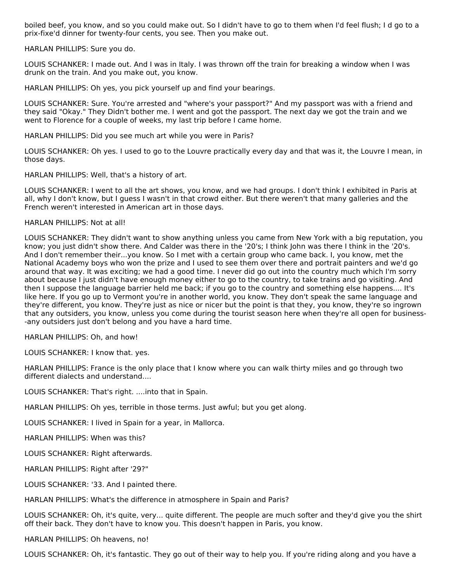boiled beef, you know, and so you could make out. So I didn't have to go to them when I'd feel flush; I d go to a prix-fixe'd dinner for twenty-four cents, you see. Then you make out.

HARLAN PHILLIPS: Sure you do.

LOUIS SCHANKER: I made out. And I was in Italy. I was thrown off the train for breaking a window when I was drunk on the train. And you make out, you know.

HARLAN PHILLIPS: Oh yes, you pick yourself up and find your bearings.

LOUIS SCHANKER: Sure. You're arrested and "where's your passport?" And my passport was with a friend and they said "Okay." They Didn't bother me. I went and got the passport. The next day we got the train and we went to Florence for a couple of weeks, my last trip before I came home.

HARLAN PHILLIPS: Did you see much art while you were in Paris?

LOUIS SCHANKER: Oh yes. I used to go to the Louvre practically every day and that was it, the Louvre I mean, in those days.

HARLAN PHILLIPS: Well, that's a history of art.

LOUIS SCHANKER: I went to all the art shows, you know, and we had groups. I don't think I exhibited in Paris at all, why I don't know, but I guess I wasn't in that crowd either. But there weren't that many galleries and the French weren't interested in American art in those days.

## HARLAN PHILLIPS: Not at all!

LOUIS SCHANKER: They didn't want to show anything unless you came from New York with a big reputation, you know; you just didn't show there. And Calder was there in the '20's; I think John was there I think in the '20's. And I don't remember their...you know. So I met with a certain group who came back. I, you know, met the National Academy boys who won the prize and I used to see them over there and portrait painters and we'd go around that way. It was exciting; we had a good time. I never did go out into the country much which I'm sorry about because I just didn't have enough money either to go to the country, to take trains and go visiting. And then I suppose the language barrier held me back; if you go to the country and something else happens.... It's like here. If you go up to Vermont you're in another world, you know. They don't speak the same language and they're different, you know. They're just as nice or nicer but the point is that they, you know, they're so ingrown that any outsiders, you know, unless you come during the tourist season here when they're all open for business- -any outsiders just don't belong and you have a hard time.

HARLAN PHILLIPS: Oh, and how!

LOUIS SCHANKER: I know that. yes.

HARLAN PHILLIPS: France is the only place that I know where you can walk thirty miles and go through two different dialects and understand....

LOUIS SCHANKER: That's right. ....into that in Spain.

HARLAN PHILLIPS: Oh yes, terrible in those terms. Just awful; but you get along.

LOUIS SCHANKER: I lived in Spain for a year, in Mallorca.

HARLAN PHILLIPS: When was this?

LOUIS SCHANKER: Right afterwards.

HARLAN PHILLIPS: Right after '29?"

LOUIS SCHANKER: '33. And I painted there.

HARLAN PHILLIPS: What's the difference in atmosphere in Spain and Paris?

LOUIS SCHANKER: Oh, it's quite, very... quite different. The people are much softer and they'd give you the shirt off their back. They don't have to know you. This doesn't happen in Paris, you know.

HARLAN PHILLIPS: Oh heavens, no!

LOUIS SCHANKER: Oh, it's fantastic. They go out of their way to help you. If you're riding along and you have a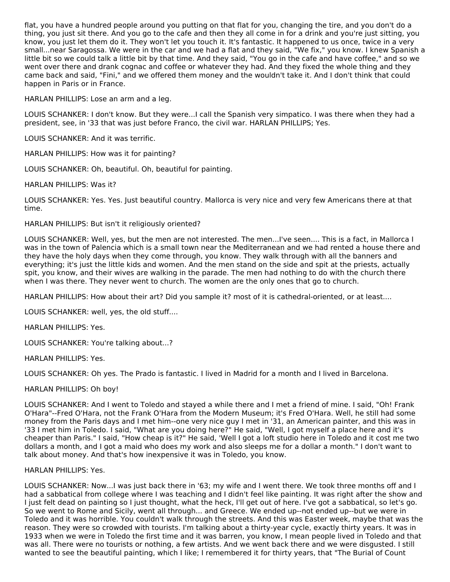flat, you have a hundred people around you putting on that flat for you, changing the tire, and you don't do a thing, you just sit there. And you go to the cafe and then they all come in for a drink and you're just sitting, you know, you just let them do it. They won't let you touch it. It's fantastic. It happened to us once, twice in a very small...near Saragossa. We were in the car and we had a flat and they said, "We fix," you know. I knew Spanish a little bit so we could talk a little bit by that time. And they said, "You go in the cafe and have coffee," and so we went over there and drank cognac and coffee or whatever they had. And they fixed the whole thing and they came back and said, "Fini," and we offered them money and the wouldn't take it. And I don't think that could happen in Paris or in France.

HARLAN PHILLIPS: Lose an arm and a leg.

LOUIS SCHANKER: I don't know. But they were...I call the Spanish very simpatico. I was there when they had a president, see, in '33 that was just before Franco, the civil war. HARLAN PHILLIPS; Yes.

LOUIS SCHANKER: And it was terrific.

HARLAN PHILLIPS: How was it for painting?

LOUIS SCHANKER: Oh, beautiful. Oh, beautiful for painting.

HARLAN PHILLIPS: Was it?

LOUIS SCHANKER: Yes. Yes. Just beautiful country. Mallorca is very nice and very few Americans there at that time.

HARLAN PHILLIPS: But isn't it religiously oriented?

LOUIS SCHANKER: Well, yes, but the men are not interested. The men...I've seen.... This is a fact, in Mallorca I was in the town of Palencia which is a small town near the Mediterranean and we had rented a house there and they have the holy days when they come through, you know. They walk through with all the banners and everything; it's just the little kids and women. And the men stand on the side and spit at the priests, actually spit, you know, and their wives are walking in the parade. The men had nothing to do with the church there when I was there. They never went to church. The women are the only ones that go to church.

HARLAN PHILLIPS: How about their art? Did you sample it? most of it is cathedral-oriented, or at least....

LOUIS SCHANKER: well, yes, the old stuff....

HARLAN PHILLIPS: Yes.

LOUIS SCHANKER: You're talking about...?

HARLAN PHILLIPS: Yes.

LOUIS SCHANKER: Oh yes. The Prado is fantastic. I lived in Madrid for a month and I lived in Barcelona.

HARLAN PHILLIPS: Oh boy!

LOUIS SCHANKER: And I went to Toledo and stayed a while there and I met a friend of mine. I said, "Oh! Frank O'Hara"--Fred O'Hara, not the Frank O'Hara from the Modern Museum; it's Fred O'Hara. Well, he still had some money from the Paris days and I met him--one very nice guy I met in '31, an American painter, and this was in '33 I met him in Toledo. I said, "What are you doing here?" He said, "Well, I got myself a place here and it's cheaper than Paris." I said, "How cheap is it?" He said, 'Well I got a loft studio here in Toledo and it cost me two dollars a month, and I got a maid who does my work and also sleeps me for a dollar a month." I don't want to talk about money. And that's how inexpensive it was in Toledo, you know.

HARLAN PHILLIPS: Yes.

LOUIS SCHANKER: Now...I was just back there in '63; my wife and I went there. We took three months off and I had a sabbatical from college where I was teaching and I didn't feel like painting. It was right after the show and I just felt dead on painting so I just thought, what the heck, I'll get out of here. I've got a sabbatical, so let's go. So we went to Rome and Sicily, went all through... and Greece. We ended up--not ended up--but we were in Toledo and it was horrible. You couldn't walk through the streets. And this was Easter week, maybe that was the reason. They were so crowded with tourists. I'm talking about a thirty-year cycle, exactly thirty years. It was in 1933 when we were in Toledo the first time and it was barren, you know, I mean people lived in Toledo and that was all. There were no tourists or nothing, a few artists. And we went back there and we were disgusted. I still wanted to see the beautiful painting, which I like; I remembered it for thirty years, that "The Burial of Count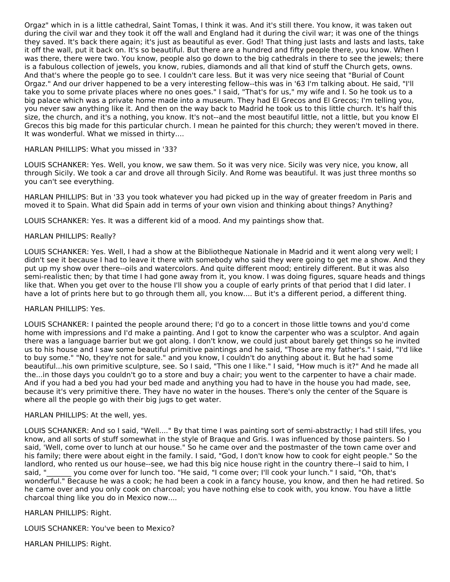Orgaz" which in is a little cathedral, Saint Tomas, I think it was. And it's still there. You know, it was taken out during the civil war and they took it off the wall and England had it during the civil war; it was one of the things they saved. It's back there again; it's just as beautiful as ever. God! That thing just lasts and lasts and lasts, take it off the wall, put it back on. It's so beautiful. But there are a hundred and fifty people there, you know. When I was there, there were two. You know, people also go down to the big cathedrals in there to see the jewels; there is a fabulous collection of jewels, you know, rubies, diamonds and all that kind of stuff the Church gets, owns. And that's where the people go to see. I couldn't care less. But it was very nice seeing that "Burial of Count Orgaz." And our driver happened to be a very interesting fellow--this was in '63 I'm talking about. He said, "I'll take you to some private places where no ones goes." I said, "That's for us," my wife and I. So he took us to a big palace which was a private home made into a museum. They had El Grecos and El Grecos; I'm telling you, you never saw anything like it. And then on the way back to Madrid he took us to this little church. It's half this size, the church, and it's a nothing, you know. It's not--and the most beautiful little, not a little, but you know El Grecos this big made for this particular church. I mean he painted for this church; they weren't moved in there. It was wonderful. What we missed in thirty....

## HARLAN PHILLIPS: What you missed in '33?

LOUIS SCHANKER: Yes. Well, you know, we saw them. So it was very nice. Sicily was very nice, you know, all through Sicily. We took a car and drove all through Sicily. And Rome was beautiful. It was just three months so you can't see everything.

HARLAN PHILLIPS: But in '33 you took whatever you had picked up in the way of greater freedom in Paris and moved it to Spain. What did Spain add in terms of your own vision and thinking about things? Anything?

LOUIS SCHANKER: Yes. It was a different kid of a mood. And my paintings show that.

### HARLAN PHILLIPS: Really?

LOUIS SCHANKER: Yes. Well, I had a show at the Bibliotheque Nationale in Madrid and it went along very well; I didn't see it because I had to leave it there with somebody who said they were going to get me a show. And they put up my show over there--oils and watercolors. And quite different mood; entirely different. But it was also semi-realistic then; by that time I had gone away from it, you know. I was doing figures, square heads and things like that. When you get over to the house I'll show you a couple of early prints of that period that I did later. I have a lot of prints here but to go through them all, you know.... But it's a different period, a different thing.

#### HARLAN PHILLIPS: Yes.

LOUIS SCHANKER: I painted the people around there; I'd go to a concert in those little towns and you'd come home with impressions and I'd make a painting. And I got to know the carpenter who was a sculptor. And again there was a language barrier but we got along. I don't know, we could just about barely get things so he invited us to his house and I saw some beautiful primitive paintings and he said, "Those are my father's." I said, "I'd like to buy some." "No, they're not for sale." and you know, I couldn't do anything about it. But he had some beautiful...his own primitive sculpture, see. So I said, "This one I like." I said, "How much is it?" And he made all the...in those days you couldn't go to a store and buy a chair; you went to the carpenter to have a chair made. And if you had a bed you had your bed made and anything you had to have in the house you had made, see, because it's very primitive there. They have no water in the houses. There's only the center of the Square is where all the people go with their big jugs to get water.

#### HARLAN PHILLIPS: At the well, yes.

LOUIS SCHANKER: And so I said, "Well...." By that time I was painting sort of semi-abstractly; I had still lifes, you know, and all sorts of stuff somewhat in the style of Braque and Gris. I was influenced by those painters. So I said, 'Well, come over to lunch at our house." So he came over and the postmaster of the town came over and his family; there were about eight in the family. I said, "God, I don't know how to cook for eight people." So the landlord, who rented us our house--see, we had this big nice house right in the country there--I said to him, I said, " you come over for lunch too. "He said, "I come over; I'll cook your lunch." I said, "Oh, that's wonderful." Because he was a cook; he had been a cook in a fancy house, you know, and then he had retired. So he came over and you only cook on charcoal; you have nothing else to cook with, you know. You have a little charcoal thing like you do in Mexico now....

## HARLAN PHILLIPS: Right.

LOUIS SCHANKER: You've been to Mexico?

HARLAN PHILLIPS: Right.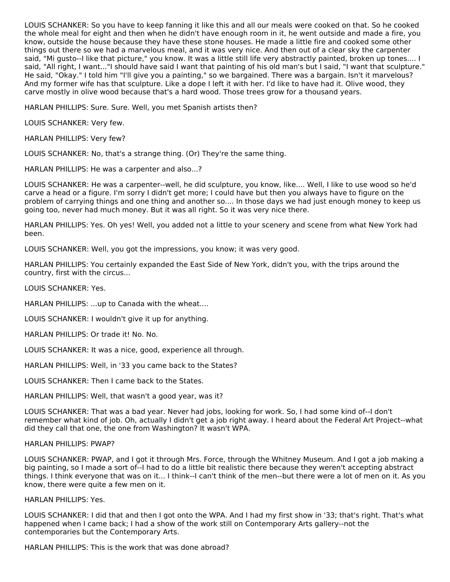LOUIS SCHANKER: So you have to keep fanning it like this and all our meals were cooked on that. So he cooked the whole meal for eight and then when he didn't have enough room in it, he went outside and made a fire, you know, outside the house because they have these stone houses. He made a little fire and cooked some other things out there so we had a marvelous meal, and it was very nice. And then out of a clear sky the carpenter said, "Mi gusto--I like that picture," you know. It was a little still life very abstractly painted, broken up tones.... I said, "All right, I want..."I should have said I want that painting of his old man's but I said, "I want that sculpture." He said, "Okay." I told him "I'll give you a painting," so we bargained. There was a bargain. Isn't it marvelous? And my former wife has that sculpture. Like a dope I left it with her. I'd like to have had it. Olive wood, they carve mostly in olive wood because that's a hard wood. Those trees grow for a thousand years.

HARLAN PHILLIPS: Sure. Sure. Well, you met Spanish artists then?

LOUIS SCHANKER: Very few.

HARLAN PHILLIPS: Very few?

LOUIS SCHANKER: No, that's a strange thing. (Or) They're the same thing.

HARLAN PHILLIPS: He was a carpenter and also...?

LOUIS SCHANKER: He was a carpenter--well, he did sculpture, you know, like.... Well, I like to use wood so he'd carve a head or a figure. I'm sorry I didn't get more; I could have but then you always have to figure on the problem of carrying things and one thing and another so.... In those days we had just enough money to keep us going too, never had much money. But it was all right. So it was very nice there.

HARLAN PHILLIPS: Yes. Oh yes! Well, you added not a little to your scenery and scene from what New York had been.

LOUIS SCHANKER: Well, you got the impressions, you know; it was very good.

HARLAN PHILLIPS: You certainly expanded the East Side of New York, didn't you, with the trips around the country, first with the circus...

LOUIS SCHANKER: Yes.

HARLAN PHILLIPS: ...up to Canada with the wheat....

LOUIS SCHANKER: I wouldn't give it up for anything.

HARLAN PHILLIPS: Or trade it! No. No.

LOUIS SCHANKER: It was a nice, good, experience all through.

HARLAN PHILLIPS: Well, in '33 you came back to the States?

LOUIS SCHANKER: Then I came back to the States.

HARLAN PHILLIPS: Well, that wasn't a good year, was it?

LOUIS SCHANKER: That was a bad year. Never had jobs, looking for work. So, I had some kind of--I don't remember what kind of job. Oh, actually I didn't get a job right away. I heard about the Federal Art Project--what did they call that one, the one from Washington? It wasn't WPA.

#### HARLAN PHILLIPS: PWAP?

LOUIS SCHANKER: PWAP, and I got it through Mrs. Force, through the Whitney Museum. And I got a job making a big painting, so I made a sort of--I had to do a little bit realistic there because they weren't accepting abstract things. I think everyone that was on it... I think--I can't think of the men--but there were a lot of men on it. As you know, there were quite a few men on it.

HARLAN PHILLIPS: Yes.

LOUIS SCHANKER: I did that and then I got onto the WPA. And I had my first show in '33; that's right. That's what happened when I came back; I had a show of the work still on Contemporary Arts gallery--not the contemporaries but the Contemporary Arts.

HARLAN PHILLIPS: This is the work that was done abroad?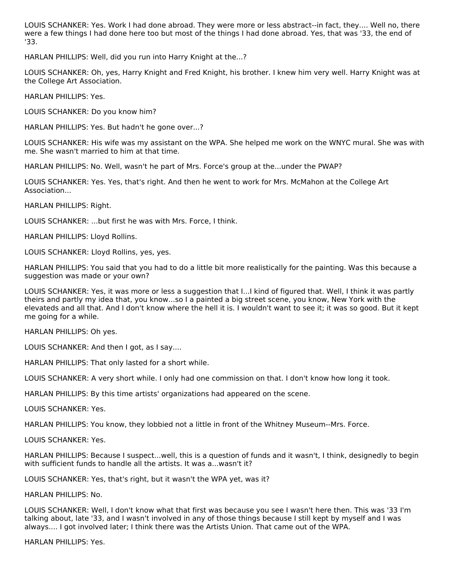LOUIS SCHANKER: Yes. Work I had done abroad. They were more or less abstract--in fact, they.... Well no, there were a few things I had done here too but most of the things I had done abroad. Yes, that was '33, the end of '33.

HARLAN PHILLIPS: Well, did you run into Harry Knight at the...?

LOUIS SCHANKER: Oh, yes, Harry Knight and Fred Knight, his brother. I knew him very well. Harry Knight was at the College Art Association.

HARLAN PHILLIPS: Yes.

LOUIS SCHANKER: Do you know him?

HARLAN PHILLIPS: Yes. But hadn't he gone over...?

LOUIS SCHANKER: His wife was my assistant on the WPA. She helped me work on the WNYC mural. She was with me. She wasn't married to him at that time.

HARLAN PHILLIPS: No. Well, wasn't he part of Mrs. Force's group at the...under the PWAP?

LOUIS SCHANKER: Yes. Yes, that's right. And then he went to work for Mrs. McMahon at the College Art Association...

HARLAN PHILLIPS: Right.

LOUIS SCHANKER: ...but first he was with Mrs. Force, I think.

HARLAN PHILLIPS: Lloyd Rollins.

LOUIS SCHANKER: Lloyd Rollins, yes, yes.

HARLAN PHILLIPS: You said that you had to do a little bit more realistically for the painting. Was this because a suggestion was made or your own?

LOUIS SCHANKER: Yes, it was more or less a suggestion that I...I kind of figured that. Well, I think it was partly theirs and partly my idea that, you know...so I a painted a big street scene, you know, New York with the elevateds and all that. And I don't know where the hell it is. I wouldn't want to see it; it was so good. But it kept me going for a while.

HARLAN PHILLIPS: Oh yes.

LOUIS SCHANKER: And then I got, as I say....

HARLAN PHILLIPS: That only lasted for a short while.

LOUIS SCHANKER: A very short while. I only had one commission on that. I don't know how long it took.

HARLAN PHILLIPS: By this time artists' organizations had appeared on the scene.

LOUIS SCHANKER: Yes.

HARLAN PHILLIPS: You know, they lobbied not a little in front of the Whitney Museum--Mrs. Force.

LOUIS SCHANKER: Yes.

HARLAN PHILLIPS: Because I suspect...well, this is a question of funds and it wasn't, I think, designedly to begin with sufficient funds to handle all the artists. It was a...wasn't it?

LOUIS SCHANKER: Yes, that's right, but it wasn't the WPA yet, was it?

#### HARLAN PHILLIPS: No.

LOUIS SCHANKER: Well, I don't know what that first was because you see I wasn't here then. This was '33 I'm talking about, late '33, and I wasn't involved in any of those things because I still kept by myself and I was always.... I got involved later; I think there was the Artists Union. That came out of the WPA.

HARLAN PHILLIPS: Yes.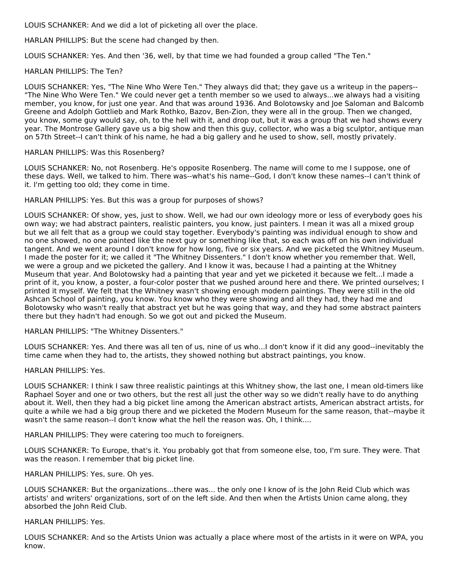LOUIS SCHANKER: And we did a lot of picketing all over the place.

HARLAN PHILLIPS: But the scene had changed by then.

LOUIS SCHANKER: Yes. And then '36, well, by that time we had founded a group called "The Ten."

## HARLAN PHILLIPS: The Ten?

LOUIS SCHANKER: Yes, "The Nine Who Were Ten." They always did that; they gave us a writeup in the papers-- "The Nine Who Were Ten." We could never get a tenth member so we used to always...we always had a visiting member, you know, for just one year. And that was around 1936. And Bolotowsky and Joe Saloman and Balcomb Greene and Adolph Gottlieb and Mark Rothko, Bazov, Ben-Zion, they were all in the group. Then we changed, you know, some guy would say, oh, to the hell with it, and drop out, but it was a group that we had shows every year. The Montrose Gallery gave us a big show and then this guy, collector, who was a big sculptor, antique man on 57th Street--I can't think of his name, he had a big gallery and he used to show, sell, mostly privately.

## HARLAN PHILLIPS: Was this Rosenberg?

LOUIS SCHANKER: No, not Rosenberg. He's opposite Rosenberg. The name will come to me I suppose, one of these days. Well, we talked to him. There was--what's his name--God, I don't know these names--I can't think of it. I'm getting too old; they come in time.

## HARLAN PHILLIPS: Yes. But this was a group for purposes of shows?

LOUIS SCHANKER: Of show, yes, just to show. Well, we had our own ideology more or less of everybody goes his own way; we had abstract painters, realistic painters, you know, just painters. I mean it was all a mixed group but we all felt that as a group we could stay together. Everybody's painting was individual enough to show and no one showed, no one painted like the next guy or something like that, so each was off on his own individual tangent. And we went around I don't know for how long, five or six years. And we picketed the Whitney Museum. I made the poster for it; we called it "The Whitney Dissenters." I don't know whether you remember that. Well, we were a group and we picketed the gallery. And I know it was, because I had a painting at the Whitney Museum that year. And Bolotowsky had a painting that year and yet we picketed it because we felt...I made a print of it, you know, a poster, a four-color poster that we pushed around here and there. We printed ourselves; I printed it myself. We felt that the Whitney wasn't showing enough modern paintings. They were still in the old Ashcan School of painting, you know. You know who they were showing and all they had, they had me and Bolotowsky who wasn't really that abstract yet but he was going that way, and they had some abstract painters there but they hadn't had enough. So we got out and picked the Museum.

## HARLAN PHILLIPS: "The Whitney Dissenters."

LOUIS SCHANKER: Yes. And there was all ten of us, nine of us who...I don't know if it did any good--inevitably the time came when they had to, the artists, they showed nothing but abstract paintings, you know.

## HARLAN PHILLIPS: Yes.

LOUIS SCHANKER: I think I saw three realistic paintings at this Whitney show, the last one, I mean old-timers like Raphael Soyer and one or two others, but the rest all just the other way so we didn't really have to do anything about it. Well, then they had a big picket line among the American abstract artists, American abstract artists, for quite a while we had a big group there and we picketed the Modern Museum for the same reason, that--maybe it wasn't the same reason--I don't know what the hell the reason was. Oh, I think....

HARLAN PHILLIPS: They were catering too much to foreigners.

LOUIS SCHANKER: To Europe, that's it. You probably got that from someone else, too, I'm sure. They were. That was the reason. I remember that big picket line.

HARLAN PHILLIPS: Yes, sure. Oh yes.

LOUIS SCHANKER: But the organizations...there was... the only one I know of is the John Reid Club which was artists' and writers' organizations, sort of on the left side. And then when the Artists Union came along, they absorbed the John Reid Club.

HARLAN PHILLIPS: Yes.

LOUIS SCHANKER: And so the Artists Union was actually a place where most of the artists in it were on WPA, you know.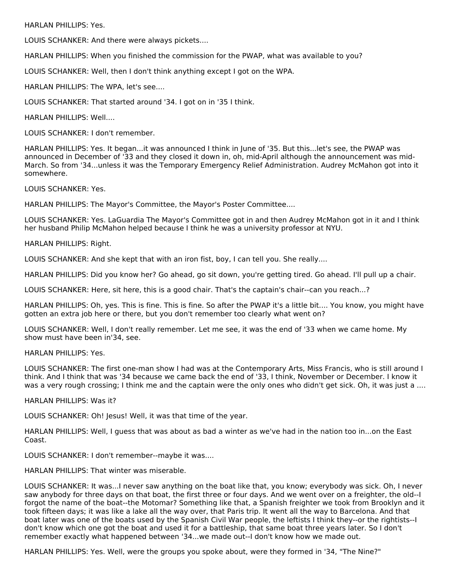HARLAN PHILLIPS: Yes.

LOUIS SCHANKER: And there were always pickets....

HARLAN PHILLIPS: When you finished the commission for the PWAP, what was available to you?

LOUIS SCHANKER: Well, then I don't think anything except I got on the WPA.

HARLAN PHILLIPS: The WPA, let's see....

LOUIS SCHANKER: That started around '34. I got on in '35 I think.

HARLAN PHILLIPS: Well....

LOUIS SCHANKER: I don't remember.

HARLAN PHILLIPS: Yes. It began...it was announced I think in June of '35. But this...let's see, the PWAP was announced in December of '33 and they closed it down in, oh, mid-April although the announcement was mid-March. So from '34...unless it was the Temporary Emergency Relief Administration. Audrey McMahon got into it somewhere.

LOUIS SCHANKER: Yes.

HARLAN PHILLIPS: The Mayor's Committee, the Mayor's Poster Committee....

LOUIS SCHANKER: Yes. LaGuardia The Mayor's Committee got in and then Audrey McMahon got in it and I think her husband Philip McMahon helped because I think he was a university professor at NYU.

HARLAN PHILLIPS: Right.

LOUIS SCHANKER: And she kept that with an iron fist, boy, I can tell you. She really....

HARLAN PHILLIPS: Did you know her? Go ahead, go sit down, you're getting tired. Go ahead. I'll pull up a chair.

LOUIS SCHANKER: Here, sit here, this is a good chair. That's the captain's chair--can you reach...?

HARLAN PHILLIPS: Oh, yes. This is fine. This is fine. So after the PWAP it's a little bit.... You know, you might have gotten an extra job here or there, but you don't remember too clearly what went on?

LOUIS SCHANKER: Well, I don't really remember. Let me see, it was the end of '33 when we came home. My show must have been in'34, see.

HARLAN PHILLIPS: Yes.

LOUIS SCHANKER: The first one-man show I had was at the Contemporary Arts, Miss Francis, who is still around I think. And I think that was '34 because we came back the end of '33, I think, November or December. I know it was a very rough crossing; I think me and the captain were the only ones who didn't get sick. Oh, it was just a ....

HARLAN PHILLIPS: Was it?

LOUIS SCHANKER: Oh! Jesus! Well, it was that time of the year.

HARLAN PHILLIPS: Well, I guess that was about as bad a winter as we've had in the nation too in...on the East Coast.

LOUIS SCHANKER: I don't remember--maybe it was....

HARLAN PHILLIPS: That winter was miserable.

LOUIS SCHANKER: It was...I never saw anything on the boat like that, you know; everybody was sick. Oh, I never saw anybody for three days on that boat, the first three or four days. And we went over on a freighter, the old--I forgot the name of the boat--the Motomar? Something like that, a Spanish freighter we took from Brooklyn and it took fifteen days; it was like a lake all the way over, that Paris trip. It went all the way to Barcelona. And that boat later was one of the boats used by the Spanish Civil War people, the leftists I think they--or the rightists--I don't know which one got the boat and used it for a battleship, that same boat three years later. So I don't remember exactly what happened between '34...we made out--I don't know how we made out.

HARLAN PHILLIPS: Yes. Well, were the groups you spoke about, were they formed in '34, "The Nine?"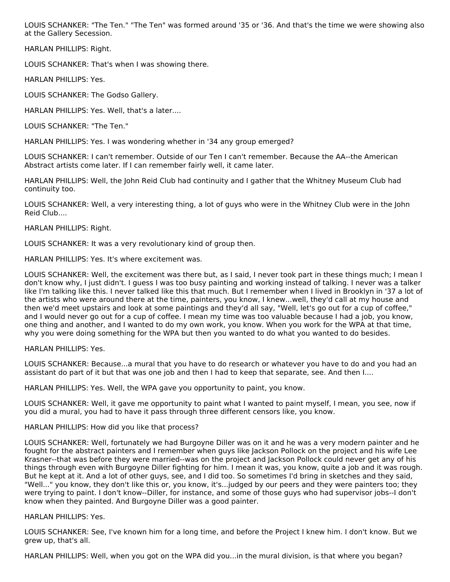LOUIS SCHANKER: "The Ten." "The Ten" was formed around '35 or '36. And that's the time we were showing also at the Gallery Secession.

HARLAN PHILLIPS: Right.

LOUIS SCHANKER: That's when I was showing there.

HARLAN PHILLIPS: Yes.

LOUIS SCHANKER: The Godso Gallery.

HARLAN PHILLIPS: Yes. Well, that's a later....

LOUIS SCHANKER: "The Ten."

HARLAN PHILLIPS: Yes. I was wondering whether in '34 any group emerged?

LOUIS SCHANKER: I can't remember. Outside of our Ten I can't remember. Because the AA--the American Abstract artists come later. If I can remember fairly well, it came later.

HARLAN PHILLIPS: Well, the John Reid Club had continuity and I gather that the Whitney Museum Club had continuity too.

LOUIS SCHANKER: Well, a very interesting thing, a lot of guys who were in the Whitney Club were in the John Reid Club....

HARLAN PHILLIPS: Right.

LOUIS SCHANKER: It was a very revolutionary kind of group then.

HARLAN PHILLIPS: Yes. It's where excitement was.

LOUIS SCHANKER: Well, the excitement was there but, as I said, I never took part in these things much; I mean I don't know why, I just didn't. I guess I was too busy painting and working instead of talking. I never was a talker like I'm talking like this. I never talked like this that much. But I remember when I lived in Brooklyn in '37 a lot of the artists who were around there at the time, painters, you know, I knew...well, they'd call at my house and then we'd meet upstairs and look at some paintings and they'd all say, "Well, let's go out for a cup of coffee," and I would never go out for a cup of coffee. I mean my time was too valuable because I had a job, you know, one thing and another, and I wanted to do my own work, you know. When you work for the WPA at that time, why you were doing something for the WPA but then you wanted to do what you wanted to do besides.

HARLAN PHILLIPS: Yes.

LOUIS SCHANKER: Because...a mural that you have to do research or whatever you have to do and you had an assistant do part of it but that was one job and then I had to keep that separate, see. And then I....

HARLAN PHILLIPS: Yes. Well, the WPA gave you opportunity to paint, you know.

LOUIS SCHANKER: Well, it gave me opportunity to paint what I wanted to paint myself, I mean, you see, now if you did a mural, you had to have it pass through three different censors like, you know.

HARLAN PHILLIPS: How did you like that process?

LOUIS SCHANKER: Well, fortunately we had Burgoyne Diller was on it and he was a very modern painter and he fought for the abstract painters and I remember when guys like Jackson Pollock on the project and his wife Lee Krasner--that was before they were married--was on the project and Jackson Pollock could never get any of his things through even with Burgoyne Diller fighting for him. I mean it was, you know, quite a job and it was rough. But he kept at it. And a lot of other guys, see, and I did too. So sometimes I'd bring in sketches and they said, "Well..." you know, they don't like this or, you know, it's...judged by our peers and they were painters too; they were trying to paint. I don't know--Diller, for instance, and some of those guys who had supervisor jobs--I don't know when they painted. And Burgoyne Diller was a good painter.

HARLAN PHILLIPS: Yes.

LOUIS SCHANKER: See, I've known him for a long time, and before the Project I knew him. I don't know. But we grew up, that's all.

HARLAN PHILLIPS: Well, when you got on the WPA did you...in the mural division, is that where you began?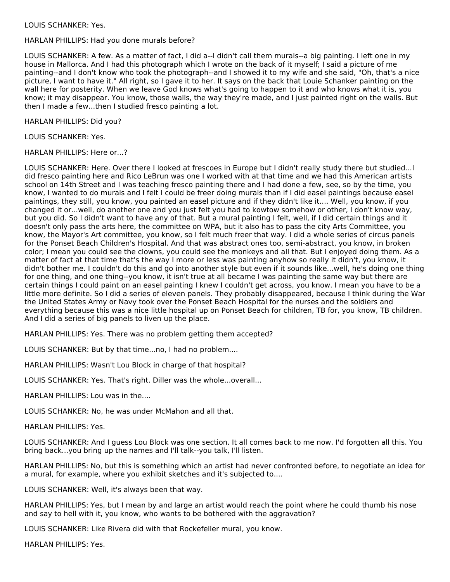## LOUIS SCHANKER: Yes.

HARLAN PHILLIPS: Had you done murals before?

LOUIS SCHANKER: A few. As a matter of fact, I did a--I didn't call them murals--a big painting. I left one in my house in Mallorca. And I had this photograph which I wrote on the back of it myself; I said a picture of me painting--and I don't know who took the photograph--and I showed it to my wife and she said, "Oh, that's a nice picture, I want to have it." All right, so I gave it to her. It says on the back that Louie Schanker painting on the wall here for posterity. When we leave God knows what's going to happen to it and who knows what it is, you know; it may disappear. You know, those walls, the way they're made, and I just painted right on the walls. But then I made a few...then I studied fresco painting a lot.

HARLAN PHILLIPS: Did you?

LOUIS SCHANKER: Yes.

HARLAN PHILLIPS: Here or...?

LOUIS SCHANKER: Here. Over there I looked at frescoes in Europe but I didn't really study there but studied...I did fresco painting here and Rico LeBrun was one I worked with at that time and we had this American artists school on 14th Street and I was teaching fresco painting there and I had done a few, see, so by the time, you know, I wanted to do murals and I felt I could be freer doing murals than if I did easel paintings because easel paintings, they still, you know, you painted an easel picture and if they didn't like it.... Well, you know, if you changed it or...well, do another one and you just felt you had to kowtow somehow or other, I don't know way, but you did. So I didn't want to have any of that. But a mural painting I felt, well, if I did certain things and it doesn't only pass the arts here, the committee on WPA, but it also has to pass the city Arts Committee, you know, the Mayor's Art committee, you know, so I felt much freer that way. I did a whole series of circus panels for the Ponset Beach Children's Hospital. And that was abstract ones too, semi-abstract, you know, in broken color; I mean you could see the clowns, you could see the monkeys and all that. But I enjoyed doing them. As a matter of fact at that time that's the way I more or less was painting anyhow so really it didn't, you know, it didn't bother me. I couldn't do this and go into another style but even if it sounds like...well, he's doing one thing for one thing, and one thing--you know, it isn't true at all became I was painting the same way but there are certain things I could paint on an easel painting I knew I couldn't get across, you know. I mean you have to be a little more definite. So I did a series of eleven panels. They probably disappeared, because I think during the War the United States Army or Navy took over the Ponset Beach Hospital for the nurses and the soldiers and everything because this was a nice little hospital up on Ponset Beach for children, TB for, you know, TB children. And I did a series of big panels to liven up the place.

HARLAN PHILLIPS: Yes. There was no problem getting them accepted?

LOUIS SCHANKER: But by that time...no, I had no problem....

HARLAN PHILLIPS: Wasn't Lou Block in charge of that hospital?

LOUIS SCHANKER: Yes. That's right. Diller was the whole...overall...

HARLAN PHILLIPS: Lou was in the....

LOUIS SCHANKER: No, he was under McMahon and all that.

HARLAN PHILLIPS: Yes.

LOUIS SCHANKER: And I guess Lou Block was one section. It all comes back to me now. I'd forgotten all this. You bring back...you bring up the names and I'll talk--you talk, I'll listen.

HARLAN PHILLIPS: No, but this is something which an artist had never confronted before, to negotiate an idea for a mural, for example, where you exhibit sketches and it's subjected to....

LOUIS SCHANKER: Well, it's always been that way.

HARLAN PHILLIPS: Yes, but I mean by and large an artist would reach the point where he could thumb his nose and say to hell with it, you know, who wants to be bothered with the aggravation?

LOUIS SCHANKER: Like Rivera did with that Rockefeller mural, you know.

HARLAN PHILLIPS: Yes.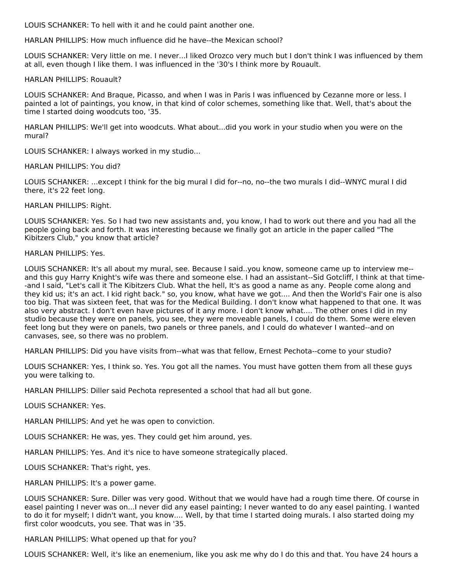LOUIS SCHANKER: To hell with it and he could paint another one.

HARLAN PHILLIPS: How much influence did he have--the Mexican school?

LOUIS SCHANKER: Very little on me. I never...I liked Orozco very much but I don't think I was influenced by them at all, even though I like them. I was influenced in the '30's I think more by Rouault.

### HARLAN PHILLIPS: Rouault?

LOUIS SCHANKER: And Braque, Picasso, and when I was in Paris I was influenced by Cezanne more or less. I painted a lot of paintings, you know, in that kind of color schemes, something like that. Well, that's about the time I started doing woodcuts too, '35.

HARLAN PHILLIPS: We'll get into woodcuts. What about...did you work in your studio when you were on the mural?

LOUIS SCHANKER: I always worked in my studio...

HARLAN PHILLIPS: You did?

LOUIS SCHANKER: ...except I think for the big mural I did for--no, no--the two murals I did--WNYC mural I did there, it's 22 feet long.

HARLAN PHILLIPS: Right.

LOUIS SCHANKER: Yes. So I had two new assistants and, you know, I had to work out there and you had all the people going back and forth. It was interesting because we finally got an article in the paper called "The Kibitzers Club," you know that article?

### HARLAN PHILLIPS: Yes.

LOUIS SCHANKER: It's all about my mural, see. Because I said..you know, someone came up to interview me- and this guy Harry Knight's wife was there and someone else. I had an assistant--Sid Gotcliff, I think at that time- -and I said, "Let's call it The Kibitzers Club. What the hell, It's as good a name as any. People come along and they kid us; it's an act. I kid right back." so, you know, what have we got.... And then the World's Fair one is also too big. That was sixteen feet, that was for the Medical Building. I don't know what happened to that one. It was also very abstract. I don't even have pictures of it any more. I don't know what.... The other ones I did in my studio because they were on panels, you see, they were moveable panels, I could do them. Some were eleven feet long but they were on panels, two panels or three panels, and I could do whatever I wanted--and on canvases, see, so there was no problem.

HARLAN PHILLIPS: Did you have visits from--what was that fellow, Ernest Pechota--come to your studio?

LOUIS SCHANKER: Yes, I think so. Yes. You got all the names. You must have gotten them from all these guys you were talking to.

HARLAN PHILLIPS: Diller said Pechota represented a school that had all but gone.

LOUIS SCHANKER: Yes.

HARLAN PHILLIPS: And yet he was open to conviction.

LOUIS SCHANKER: He was, yes. They could get him around, yes.

HARLAN PHILLIPS: Yes. And it's nice to have someone strategically placed.

LOUIS SCHANKER: That's right, yes.

#### HARLAN PHILLIPS: It's a power game.

LOUIS SCHANKER: Sure. Diller was very good. Without that we would have had a rough time there. Of course in easel painting I never was on...I never did any easel painting; I never wanted to do any easel painting. I wanted to do it for myself; I didn't want, you know.... Well, by that time I started doing murals. I also started doing my first color woodcuts, you see. That was in '35.

HARLAN PHILLIPS: What opened up that for you?

LOUIS SCHANKER: Well, it's like an enemenium, like you ask me why do I do this and that. You have 24 hours a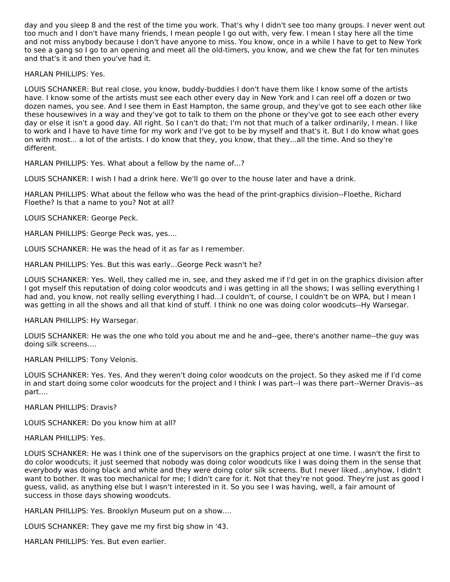day and you sleep 8 and the rest of the time you work. That's why I didn't see too many groups. I never went out too much and I don't have many friends, I mean people I go out with, very few. I mean I stay here all the time and not miss anybody because I don't have anyone to miss. You know, once in a while I have to get to New York to see a gang so I go to an opening and meet all the old-timers, you know, and we chew the fat for ten minutes and that's it and then you've had it.

HARLAN PHILLIPS: Yes.

LOUIS SCHANKER: But real close, you know, buddy-buddies I don't have them like I know some of the artists have. I know some of the artists must see each other every day in New York and I can reel off a dozen or two dozen names, you see. And I see them in East Hampton, the same group, and they've got to see each other like these housewives in a way and they've got to talk to them on the phone or they've got to see each other every day or else it isn't a good day. All right. So I can't do that; I'm not that much of a talker ordinarily, I mean. I like to work and I have to have time for my work and I've got to be by myself and that's it. But I do know what goes on with most... a lot of the artists. I do know that they, you know, that they...all the time. And so they're different.

HARLAN PHILLIPS: Yes. What about a fellow by the name of...?

LOUIS SCHANKER: I wish I had a drink here. We'll go over to the house later and have a drink.

HARLAN PHILLIPS: What about the fellow who was the head of the print-graphics division--Floethe, Richard Floethe? Is that a name to you? Not at all?

LOUIS SCHANKER: George Peck.

HARLAN PHILLIPS: George Peck was, yes....

LOUIS SCHANKER: He was the head of it as far as I remember.

HARLAN PHILLIPS: Yes. But this was early...George Peck wasn't he?

LOUIS SCHANKER: Yes. Well, they called me in, see, and they asked me if I'd get in on the graphics division after I got myself this reputation of doing color woodcuts and i was getting in all the shows; I was selling everything I had and, you know, not really selling everything I had...I couldn't, of course, I couldn't be on WPA, but I mean I was getting in all the shows and all that kind of stuff. I think no one was doing color woodcuts--Hy Warsegar.

HARLAN PHILLIPS: Hy Warsegar.

LOUIS SCHANKER: He was the one who told you about me and he and--gee, there's another name--the guy was doing silk screens....

HARLAN PHILLIPS: Tony Velonis.

LOUIS SCHANKER: Yes. Yes. And they weren't doing color woodcuts on the project. So they asked me if I'd come in and start doing some color woodcuts for the project and I think I was part--I was there part--Werner Dravis--as part....

HARLAN PHILLIPS: Dravis?

LOUIS SCHANKER: Do you know him at all?

HARLAN PHILLIPS: Yes.

LOUIS SCHANKER: He was I think one of the supervisors on the graphics project at one time. I wasn't the first to do color woodcuts; it just seemed that nobody was doing color woodcuts like I was doing them in the sense that everybody was doing black and white and they were doing color silk screens. But I never liked...anyhow, I didn't want to bother. It was too mechanical for me; I didn't care for it. Not that they're not good. They're just as good I guess, valid, as anything else but I wasn't interested in it. So you see I was having, well, a fair amount of success in those days showing woodcuts.

HARLAN PHILLIPS: Yes. Brooklyn Museum put on a show....

LOUIS SCHANKER: They gave me my first big show in '43.

HARLAN PHILLIPS: Yes. But even earlier.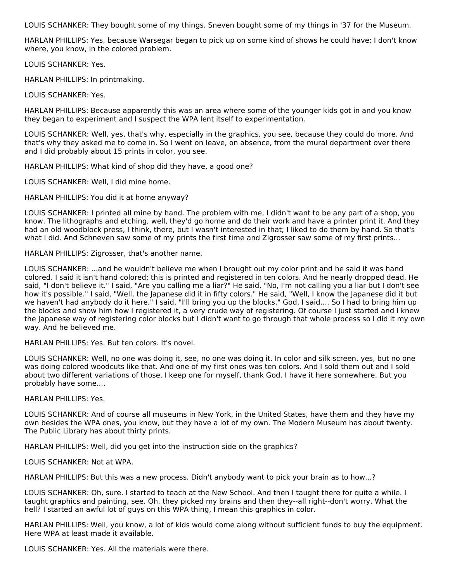LOUIS SCHANKER: They bought some of my things. Sneven bought some of my things in '37 for the Museum.

HARLAN PHILLIPS: Yes, because Warsegar began to pick up on some kind of shows he could have; I don't know where, you know, in the colored problem.

LOUIS SCHANKER: Yes.

HARLAN PHILLIPS: In printmaking.

LOUIS SCHANKER: Yes.

HARLAN PHILLIPS: Because apparently this was an area where some of the younger kids got in and you know they began to experiment and I suspect the WPA lent itself to experimentation.

LOUIS SCHANKER: Well, yes, that's why, especially in the graphics, you see, because they could do more. And that's why they asked me to come in. So I went on leave, on absence, from the mural department over there and I did probably about 15 prints in color, you see.

HARLAN PHILLIPS: What kind of shop did they have, a good one?

LOUIS SCHANKER: Well, I did mine home.

HARLAN PHILLIPS: You did it at home anyway?

LOUIS SCHANKER: I printed all mine by hand. The problem with me, I didn't want to be any part of a shop, you know. The lithographs and etching, well, they'd go home and do their work and have a printer print it. And they had an old woodblock press, I think, there, but I wasn't interested in that; I liked to do them by hand. So that's what I did. And Schneven saw some of my prints the first time and Zigrosser saw some of my first prints...

HARLAN PHILLIPS: Zigrosser, that's another name.

LOUIS SCHANKER: ...and he wouldn't believe me when I brought out my color print and he said it was hand colored. I said it isn't hand colored; this is printed and registered in ten colors. And he nearly dropped dead. He said, "I don't believe it." I said, "Are you calling me a liar?" He said, "No, I'm not calling you a liar but I don't see how it's possible." I said, "Well, the Japanese did it in fifty colors." He said, "Well, I know the Japanese did it but we haven't had anybody do it here." I said, "I'll bring you up the blocks." God, I said.... So I had to bring him up the blocks and show him how I registered it, a very crude way of registering. Of course I just started and I knew the Japanese way of registering color blocks but I didn't want to go through that whole process so I did it my own way. And he believed me.

HARLAN PHILLIPS: Yes. But ten colors. It's novel.

LOUIS SCHANKER: Well, no one was doing it, see, no one was doing it. In color and silk screen, yes, but no one was doing colored woodcuts like that. And one of my first ones was ten colors. And I sold them out and I sold about two different variations of those. I keep one for myself, thank God. I have it here somewhere. But you probably have some....

HARLAN PHILLIPS: Yes.

LOUIS SCHANKER: And of course all museums in New York, in the United States, have them and they have my own besides the WPA ones, you know, but they have a lot of my own. The Modern Museum has about twenty. The Public Library has about thirty prints.

HARLAN PHILLIPS: Well, did you get into the instruction side on the graphics?

LOUIS SCHANKER: Not at WPA.

HARLAN PHILLIPS: But this was a new process. Didn't anybody want to pick your brain as to how...?

LOUIS SCHANKER: Oh, sure. I started to teach at the New School. And then I taught there for quite a while. I taught graphics and painting, see. Oh, they picked my brains and then they--all right--don't worry. What the hell? I started an awful lot of guys on this WPA thing, I mean this graphics in color.

HARLAN PHILLIPS: Well, you know, a lot of kids would come along without sufficient funds to buy the equipment. Here WPA at least made it available.

LOUIS SCHANKER: Yes. All the materials were there.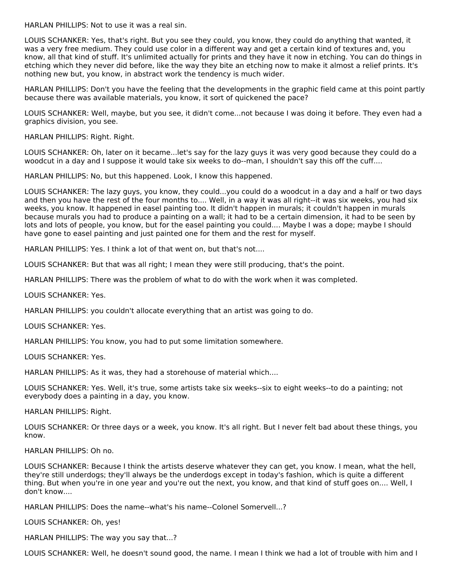HARLAN PHILLIPS: Not to use it was a real sin.

LOUIS SCHANKER: Yes, that's right. But you see they could, you know, they could do anything that wanted, it was a very free medium. They could use color in a different way and get a certain kind of textures and, you know, all that kind of stuff. It's unlimited actually for prints and they have it now in etching. You can do things in etching which they never did before, like the way they bite an etching now to make it almost a relief prints. It's nothing new but, you know, in abstract work the tendency is much wider.

HARLAN PHILLIPS: Don't you have the feeling that the developments in the graphic field came at this point partly because there was available materials, you know, it sort of quickened the pace?

LOUIS SCHANKER: Well, maybe, but you see, it didn't come...not because I was doing it before. They even had a graphics division, you see.

HARLAN PHILLIPS: Right. Right.

LOUIS SCHANKER: Oh, later on it became...let's say for the lazy guys it was very good because they could do a woodcut in a day and I suppose it would take six weeks to do--man, I shouldn't say this off the cuff....

HARLAN PHILLIPS: No, but this happened. Look, I know this happened.

LOUIS SCHANKER: The lazy guys, you know, they could...you could do a woodcut in a day and a half or two days and then you have the rest of the four months to.... Well, in a way it was all right--it was six weeks, you had six weeks, you know. It happened in easel painting too. It didn't happen in murals; it couldn't happen in murals because murals you had to produce a painting on a wall; it had to be a certain dimension, it had to be seen by lots and lots of people, you know, but for the easel painting you could.... Maybe I was a dope; maybe I should have gone to easel painting and just painted one for them and the rest for myself.

HARLAN PHILLIPS: Yes. I think a lot of that went on, but that's not....

LOUIS SCHANKER: But that was all right; I mean they were still producing, that's the point.

HARLAN PHILLIPS: There was the problem of what to do with the work when it was completed.

LOUIS SCHANKER: Yes.

HARLAN PHILLIPS: you couldn't allocate everything that an artist was going to do.

LOUIS SCHANKER: Yes.

HARLAN PHILLIPS: You know, you had to put some limitation somewhere.

LOUIS SCHANKER: Yes.

HARLAN PHILLIPS: As it was, they had a storehouse of material which....

LOUIS SCHANKER: Yes. Well, it's true, some artists take six weeks--six to eight weeks--to do a painting; not everybody does a painting in a day, you know.

HARLAN PHILLIPS: Right.

LOUIS SCHANKER: Or three days or a week, you know. It's all right. But I never felt bad about these things, you know.

HARLAN PHILLIPS: Oh no.

LOUIS SCHANKER: Because I think the artists deserve whatever they can get, you know. I mean, what the hell, they're still underdogs; they'll always be the underdogs except in today's fashion, which is quite a different thing. But when you're in one year and you're out the next, you know, and that kind of stuff goes on.... Well, I don't know....

HARLAN PHILLIPS: Does the name--what's his name--Colonel Somervell...?

LOUIS SCHANKER: Oh, yes!

HARLAN PHILLIPS: The way you say that...?

LOUIS SCHANKER: Well, he doesn't sound good, the name. I mean I think we had a lot of trouble with him and I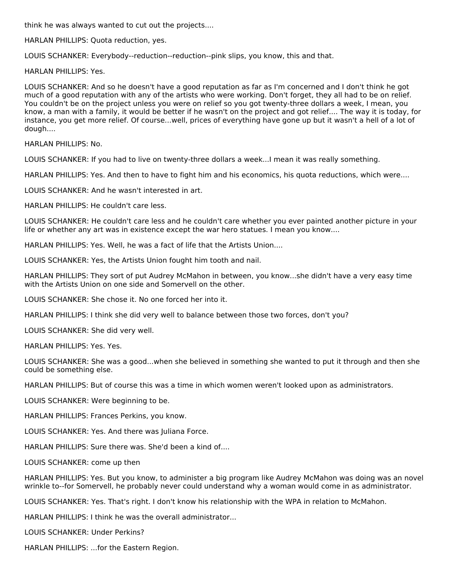think he was always wanted to cut out the projects....

HARLAN PHILLIPS: Quota reduction, yes.

LOUIS SCHANKER: Everybody--reduction--reduction--pink slips, you know, this and that.

HARLAN PHILLIPS: Yes.

LOUIS SCHANKER: And so he doesn't have a good reputation as far as I'm concerned and I don't think he got much of a good reputation with any of the artists who were working. Don't forget, they all had to be on relief. You couldn't be on the project unless you were on relief so you got twenty-three dollars a week, I mean, you know, a man with a family, it would be better if he wasn't on the project and got relief.... The way it is today, for instance, you get more relief. Of course...well, prices of everything have gone up but it wasn't a hell of a lot of dough....

HARLAN PHILLIPS: No.

LOUIS SCHANKER: If you had to live on twenty-three dollars a week...I mean it was really something.

HARLAN PHILLIPS: Yes. And then to have to fight him and his economics, his quota reductions, which were....

LOUIS SCHANKER: And he wasn't interested in art.

HARLAN PHILLIPS: He couldn't care less.

LOUIS SCHANKER: He couldn't care less and he couldn't care whether you ever painted another picture in your life or whether any art was in existence except the war hero statues. I mean you know....

HARLAN PHILLIPS: Yes. Well, he was a fact of life that the Artists Union....

LOUIS SCHANKER: Yes, the Artists Union fought him tooth and nail.

HARLAN PHILLIPS: They sort of put Audrey McMahon in between, you know...she didn't have a very easy time with the Artists Union on one side and Somervell on the other.

LOUIS SCHANKER: She chose it. No one forced her into it.

HARLAN PHILLIPS: I think she did very well to balance between those two forces, don't you?

LOUIS SCHANKER: She did very well.

HARLAN PHILLIPS: Yes. Yes.

LOUIS SCHANKER: She was a good...when she believed in something she wanted to put it through and then she could be something else.

HARLAN PHILLIPS: But of course this was a time in which women weren't looked upon as administrators.

LOUIS SCHANKER: Were beginning to be.

HARLAN PHILLIPS: Frances Perkins, you know.

LOUIS SCHANKER: Yes. And there was Juliana Force.

HARLAN PHILLIPS: Sure there was. She'd been a kind of....

LOUIS SCHANKER: come up then

HARLAN PHILLIPS: Yes. But you know, to administer a big program like Audrey McMahon was doing was an novel wrinkle to--for Somervell, he probably never could understand why a woman would come in as administrator.

LOUIS SCHANKER: Yes. That's right. I don't know his relationship with the WPA in relation to McMahon.

HARLAN PHILLIPS: I think he was the overall administrator...

LOUIS SCHANKER: Under Perkins?

HARLAN PHILLIPS: ...for the Eastern Region.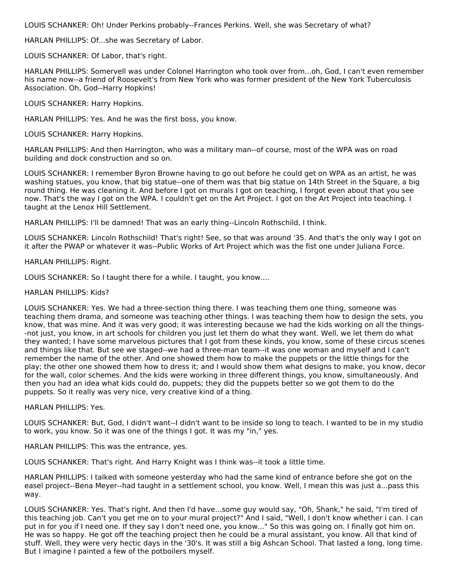LOUIS SCHANKER: Oh! Under Perkins probably--Frances Perkins. Well, she was Secretary of what?

HARLAN PHILLIPS: Of...she was Secretary of Labor.

LOUIS SCHANKER: Of Labor, that's right.

HARLAN PHILLIPS: Somervell was under Colonel Harrington who took over from...oh, God, I can't even remember his name now--a friend of Roosevelt's from New York who was former president of the New York Tuberculosis Association. Oh, God--Harry Hopkins!

LOUIS SCHANKER: Harry Hopkins.

HARLAN PHILLIPS: Yes. And he was the first boss, you know.

LOUIS SCHANKER: Harry Hopkins.

HARLAN PHILLIPS: And then Harrington, who was a military man--of course, most of the WPA was on road building and dock construction and so on.

LOUIS SCHANKER: I remember Byron Browne having to go out before he could get on WPA as an artist, he was washing statues, you know, that big statue--one of them was that big statue on 14th Street in the Square, a big round thing. He was cleaning it. And before I got on murals I got on teaching, I forgot even about that you see now. That's the way I got on the WPA. I couldn't get on the Art Project. I got on the Art Project into teaching. I taught at the Lenox Hill Settlement.

HARLAN PHILLIPS: I'll be damned! That was an early thing--Lincoln Rothschild, I think.

LOUIS SCHANKER: Lincoln Rothschild! That's right! See, so that was around '35. And that's the only way I got on it after the PWAP or whatever it was--Public Works of Art Project which was the fist one under Juliana Force.

HARLAN PHILLIPS: Right.

LOUIS SCHANKER: So I taught there for a while. I taught, you know....

## HARLAN PHILLIPS: Kids?

LOUIS SCHANKER: Yes. We had a three-section thing there. I was teaching them one thing, someone was teaching them drama, and someone was teaching other things. I was teaching them how to design the sets, you know, that was mine. And it was very good; it was interesting because we had the kids working on all the things- -not just, you know, in art schools for children you just let them do what they want. Well, we let them do what they wanted; I have some marvelous pictures that I got from these kinds, you know, some of these circus scenes and things like that. But see we staged--we had a three-man team--it was one woman and myself and I can't remember the name of the other. And one showed them how to make the puppets or the little things for the play; the other one showed them how to dress it; and I would show them what designs to make, you know, decor for the wall, color schemes. And the kids were working in three different things, you know, simultaneously. And then you had an idea what kids could do, puppets; they did the puppets better so we got them to do the puppets. So it really was very nice, very creative kind of a thing.

HARLAN PHILLIPS: Yes.

LOUIS SCHANKER: But, God, I didn't want--I didn't want to be inside so long to teach. I wanted to be in my studio to work, you know. So it was one of the things I got. It was my "in," yes.

HARLAN PHILLIPS: This was the entrance, yes.

LOUIS SCHANKER: That's right. And Harry Knight was I think was--it took a little time.

HARLAN PHILLIPS: I talked with someone yesterday who had the same kind of entrance before she got on the easel project--Bena Meyer--had taught in a settlement school, you know. Well, I mean this was just a...pass this way.

LOUIS SCHANKER: Yes. That's right. And then I'd have...some guy would say, "Oh, Shank," he said, "I'm tired of this teaching job. Can't you get me on to your mural project?" And I said, "Well, I don't know whether i can. I can put in for you if I need one. If they say I don't need one, you know..." So this was going on. I finally got him on. He was so happy. He got off the teaching project then he could be a mural assistant, you know. All that kind of stuff. Well, they were very hectic days in the '30's. It was still a big Ashcan School. That lasted a long, long time. But I imagine I painted a few of the potboilers myself.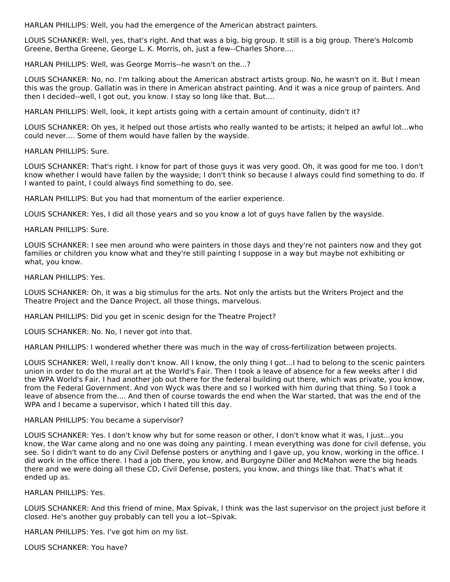HARLAN PHILLIPS: Well, you had the emergence of the American abstract painters.

LOUIS SCHANKER: Well, yes, that's right. And that was a big, big group. It still is a big group. There's Holcomb Greene, Bertha Greene, George L. K. Morris, oh, just a few--Charles Shore....

HARLAN PHILLIPS: Well, was George Morris--he wasn't on the...?

LOUIS SCHANKER: No, no. I'm talking about the American abstract artists group. No, he wasn't on it. But I mean this was the group. Gallatin was in there in American abstract painting. And it was a nice group of painters. And then I decided--well, I got out, you know. I stay so long like that. But....

HARLAN PHILLIPS: Well, look, it kept artists going with a certain amount of continuity, didn't it?

LOUIS SCHANKER: Oh yes, it helped out those artists who really wanted to be artists; it helped an awful lot...who could never.... Some of them would have fallen by the wayside.

HARLAN PHILLIPS: Sure.

LOUIS SCHANKER: That's right. I know for part of those guys it was very good. Oh, it was good for me too. I don't know whether I would have fallen by the wayside; I don't think so because I always could find something to do. If I wanted to paint, I could always find something to do, see.

HARLAN PHILLIPS: But you had that momentum of the earlier experience.

LOUIS SCHANKER: Yes, I did all those years and so you know a lot of guys have fallen by the wayside.

HARLAN PHILLIPS: Sure.

LOUIS SCHANKER: I see men around who were painters in those days and they're not painters now and they got families or children you know what and they're still painting I suppose in a way but maybe not exhibiting or what, you know.

HARLAN PHILLIPS: Yes.

LOUIS SCHANKER: Oh, it was a big stimulus for the arts. Not only the artists but the Writers Project and the Theatre Project and the Dance Project, all those things, marvelous.

HARLAN PHILLIPS: Did you get in scenic design for the Theatre Project?

LOUIS SCHANKER: No. No, I never got into that.

HARLAN PHILLIPS: I wondered whether there was much in the way of cross-fertilization between projects.

LOUIS SCHANKER: Well, I really don't know. All I know, the only thing I got...I had to belong to the scenic painters union in order to do the mural art at the World's Fair. Then I took a leave of absence for a few weeks after I did the WPA World's Fair. I had another job out there for the federal building out there, which was private, you know, from the Federal Government. And von Wyck was there and so I worked with him during that thing. So I took a leave of absence from the.... And then of course towards the end when the War started, that was the end of the WPA and I became a supervisor, which I hated till this day.

#### HARLAN PHILLIPS: You became a supervisor?

LOUIS SCHANKER: Yes. I don't know why but for some reason or other, I don't know what it was, I just...you know, the War came along and no one was doing any painting. I mean everything was done for civil defense, you see. So I didn't want to do any Civil Defense posters or anything and I gave up, you know, working in the office. I did work in the office there. I had a job there, you know, and Burgoyne Diller and McMahon were the big heads there and we were doing all these CD, Civil Defense, posters, you know, and things like that. That's what it ended up as.

HARLAN PHILLIPS: Yes.

LOUIS SCHANKER: And this friend of mine, Max Spivak, I think was the last supervisor on the project just before it closed. He's another guy probably can tell you a lot--Spivak.

HARLAN PHILLIPS: Yes. I've got him on my list.

LOUIS SCHANKER: You have?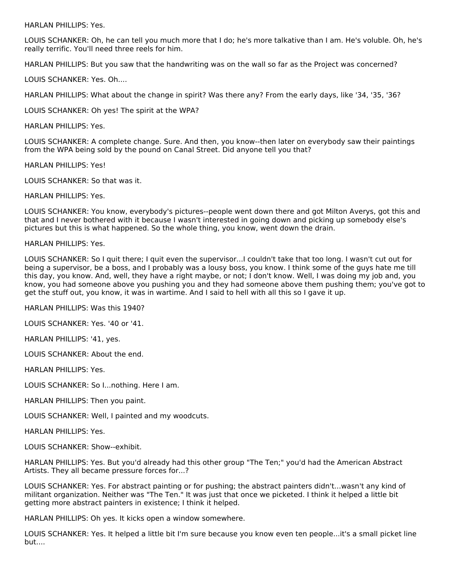HARLAN PHILLIPS: Yes.

LOUIS SCHANKER: Oh, he can tell you much more that I do; he's more talkative than I am. He's voluble. Oh, he's really terrific. You'll need three reels for him.

HARLAN PHILLIPS: But you saw that the handwriting was on the wall so far as the Project was concerned?

LOUIS SCHANKER: Yes. Oh....

HARLAN PHILLIPS: What about the change in spirit? Was there any? From the early days, like '34, '35, '36?

LOUIS SCHANKER: Oh yes! The spirit at the WPA?

HARLAN PHILLIPS: Yes.

LOUIS SCHANKER: A complete change. Sure. And then, you know--then later on everybody saw their paintings from the WPA being sold by the pound on Canal Street. Did anyone tell you that?

HARLAN PHILLIPS: Yes!

LOUIS SCHANKER: So that was it.

HARLAN PHILLIPS: Yes.

LOUIS SCHANKER: You know, everybody's pictures--people went down there and got Milton Averys, got this and that and I never bothered with it because I wasn't interested in going down and picking up somebody else's pictures but this is what happened. So the whole thing, you know, went down the drain.

HARLAN PHILLIPS: Yes.

LOUIS SCHANKER: So I quit there; I quit even the supervisor...I couldn't take that too long. I wasn't cut out for being a supervisor, be a boss, and I probably was a lousy boss, you know. I think some of the guys hate me till this day, you know. And, well, they have a right maybe, or not; I don't know. Well, I was doing my job and, you know, you had someone above you pushing you and they had someone above them pushing them; you've got to get the stuff out, you know, it was in wartime. And I said to hell with all this so I gave it up.

HARLAN PHILLIPS: Was this 1940?

LOUIS SCHANKER: Yes. '40 or '41.

HARLAN PHILLIPS: '41, yes.

LOUIS SCHANKER: About the end.

HARLAN PHILLIPS: Yes.

LOUIS SCHANKER: So I...nothing. Here I am.

HARLAN PHILLIPS: Then you paint.

LOUIS SCHANKER: Well, I painted and my woodcuts.

HARLAN PHILLIPS: Yes.

LOUIS SCHANKER: Show--exhibit.

HARLAN PHILLIPS: Yes. But you'd already had this other group "The Ten;" you'd had the American Abstract Artists. They all became pressure forces for...?

LOUIS SCHANKER: Yes. For abstract painting or for pushing; the abstract painters didn't...wasn't any kind of militant organization. Neither was "The Ten." It was just that once we picketed. I think it helped a little bit getting more abstract painters in existence; I think it helped.

HARLAN PHILLIPS: Oh yes. It kicks open a window somewhere.

LOUIS SCHANKER: Yes. It helped a little bit I'm sure because you know even ten people...it's a small picket line but....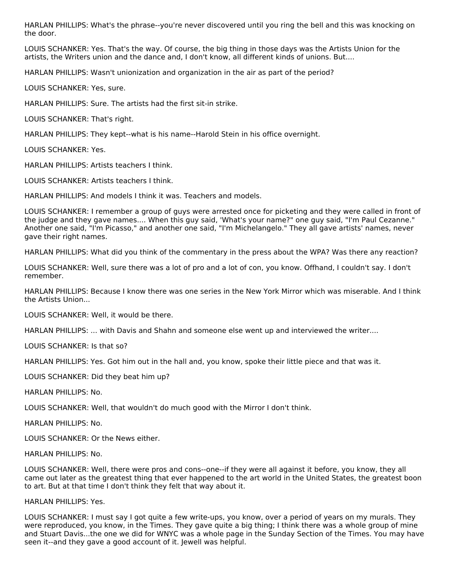HARLAN PHILLIPS: What's the phrase--you're never discovered until you ring the bell and this was knocking on the door.

LOUIS SCHANKER: Yes. That's the way. Of course, the big thing in those days was the Artists Union for the artists, the Writers union and the dance and, I don't know, all different kinds of unions. But....

HARLAN PHILLIPS: Wasn't unionization and organization in the air as part of the period?

LOUIS SCHANKER: Yes, sure.

HARLAN PHILLIPS: Sure. The artists had the first sit-in strike.

LOUIS SCHANKER: That's right.

HARLAN PHILLIPS: They kept--what is his name--Harold Stein in his office overnight.

LOUIS SCHANKER: Yes.

HARLAN PHILLIPS: Artists teachers I think.

LOUIS SCHANKER: Artists teachers I think.

HARLAN PHILLIPS: And models I think it was. Teachers and models.

LOUIS SCHANKER: I remember a group of guys were arrested once for picketing and they were called in front of the judge and they gave names.... When this guy said, 'What's your name?" one guy said, "I'm Paul Cezanne." Another one said, "I'm Picasso," and another one said, "I'm Michelangelo." They all gave artists' names, never gave their right names.

HARLAN PHILLIPS: What did you think of the commentary in the press about the WPA? Was there any reaction?

LOUIS SCHANKER: Well, sure there was a lot of pro and a lot of con, you know. Offhand, I couldn't say. I don't remember.

HARLAN PHILLIPS: Because I know there was one series in the New York Mirror which was miserable. And I think the Artists Union...

LOUIS SCHANKER: Well, it would be there.

HARLAN PHILLIPS: ... with Davis and Shahn and someone else went up and interviewed the writer....

LOUIS SCHANKER: Is that so?

HARLAN PHILLIPS: Yes. Got him out in the hall and, you know, spoke their little piece and that was it.

LOUIS SCHANKER: Did they beat him up?

HARLAN PHILLIPS: No.

LOUIS SCHANKER: Well, that wouldn't do much good with the Mirror I don't think.

HARLAN PHILLIPS: No.

LOUIS SCHANKER: Or the News either.

HARLAN PHILLIPS: No.

LOUIS SCHANKER: Well, there were pros and cons--one--if they were all against it before, you know, they all came out later as the greatest thing that ever happened to the art world in the United States, the greatest boon to art. But at that time I don't think they felt that way about it.

## HARLAN PHILLIPS: Yes.

LOUIS SCHANKER: I must say I got quite a few write-ups, you know, over a period of years on my murals. They were reproduced, you know, in the Times. They gave quite a big thing; I think there was a whole group of mine and Stuart Davis...the one we did for WNYC was a whole page in the Sunday Section of the Times. You may have seen it--and they gave a good account of it. Jewell was helpful.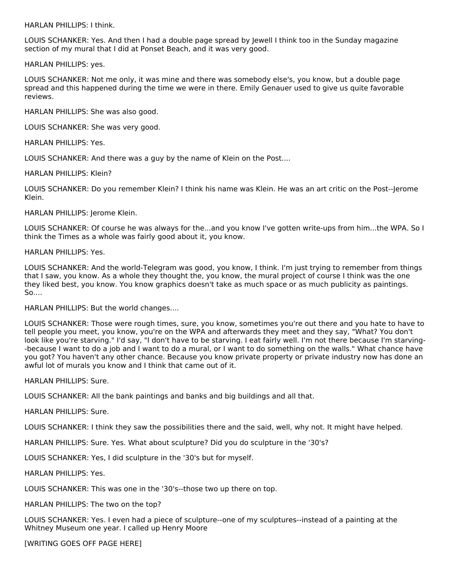HARLAN PHILLIPS: I think.

LOUIS SCHANKER: Yes. And then I had a double page spread by Jewell I think too in the Sunday magazine section of my mural that I did at Ponset Beach, and it was very good.

HARLAN PHILLIPS: yes.

LOUIS SCHANKER: Not me only, it was mine and there was somebody else's, you know, but a double page spread and this happened during the time we were in there. Emily Genauer used to give us quite favorable reviews.

HARLAN PHILLIPS: She was also good.

LOUIS SCHANKER: She was very good.

HARLAN PHILLIPS: Yes.

LOUIS SCHANKER: And there was a guy by the name of Klein on the Post....

HARLAN PHILLIPS: Klein?

LOUIS SCHANKER: Do you remember Klein? I think his name was Klein. He was an art critic on the Post--Jerome Klein.

HARLAN PHILLIPS: Jerome Klein.

LOUIS SCHANKER: Of course he was always for the...and you know I've gotten write-ups from him...the WPA. So I think the Times as a whole was fairly good about it, you know.

HARLAN PHILLIPS: Yes.

LOUIS SCHANKER: And the world-Telegram was good, you know, I think. I'm just trying to remember from things that I saw, you know. As a whole they thought the, you know, the mural project of course I think was the one they liked best, you know. You know graphics doesn't take as much space or as much publicity as paintings. So....

HARLAN PHILLIPS: But the world changes....

LOUIS SCHANKER: Those were rough times, sure, you know, sometimes you're out there and you hate to have to tell people you meet, you know, you're on the WPA and afterwards they meet and they say, "What? You don't look like you're starving." I'd say, "I don't have to be starving. I eat fairly well. I'm not there because I'm starving- -because I want to do a job and I want to do a mural, or I want to do something on the walls." What chance have you got? You haven't any other chance. Because you know private property or private industry now has done an awful lot of murals you know and I think that came out of it.

HARLAN PHILLIPS: Sure.

LOUIS SCHANKER: All the bank paintings and banks and big buildings and all that.

HARLAN PHILLIPS: Sure.

LOUIS SCHANKER: I think they saw the possibilities there and the said, well, why not. It might have helped.

HARLAN PHILLIPS: Sure. Yes. What about sculpture? Did you do sculpture in the '30's?

LOUIS SCHANKER: Yes, I did sculpture in the '30's but for myself.

HARLAN PHILLIPS: Yes.

LOUIS SCHANKER: This was one in the '30's--those two up there on top.

HARLAN PHILLIPS: The two on the top?

LOUIS SCHANKER: Yes. I even had a piece of sculpture--one of my sculptures--instead of a painting at the Whitney Museum one year. I called up Henry Moore

[WRITING GOES OFF PAGE HERE]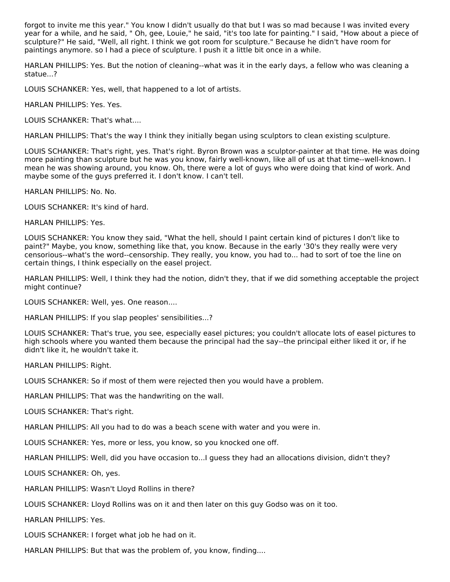forgot to invite me this year." You know I didn't usually do that but I was so mad because I was invited every year for a while, and he said, " Oh, gee, Louie," he said, "it's too late for painting." I said, "How about a piece of sculpture?" He said, "Well, all right. I think we got room for sculpture." Because he didn't have room for paintings anymore. so I had a piece of sculpture. I push it a little bit once in a while.

HARLAN PHILLIPS: Yes. But the notion of cleaning--what was it in the early days, a fellow who was cleaning a statue...?

LOUIS SCHANKER: Yes, well, that happened to a lot of artists.

HARLAN PHILLIPS: Yes. Yes.

LOUIS SCHANKER: That's what....

HARLAN PHILLIPS: That's the way I think they initially began using sculptors to clean existing sculpture.

LOUIS SCHANKER: That's right, yes. That's right. Byron Brown was a sculptor-painter at that time. He was doing more painting than sculpture but he was you know, fairly well-known, like all of us at that time--well-known. I mean he was showing around, you know. Oh, there were a lot of guys who were doing that kind of work. And maybe some of the guys preferred it. I don't know. I can't tell.

HARLAN PHILLIPS: No. No.

LOUIS SCHANKER: It's kind of hard.

HARLAN PHILLIPS: Yes.

LOUIS SCHANKER: You know they said, "What the hell, should I paint certain kind of pictures I don't like to paint?" Maybe, you know, something like that, you know. Because in the early '30's they really were very censorious--what's the word--censorship. They really, you know, you had to... had to sort of toe the line on certain things, I think especially on the easel project.

HARLAN PHILLIPS: Well, I think they had the notion, didn't they, that if we did something acceptable the project might continue?

LOUIS SCHANKER: Well, yes. One reason....

HARLAN PHILLIPS: If you slap peoples' sensibilities...?

LOUIS SCHANKER: That's true, you see, especially easel pictures; you couldn't allocate lots of easel pictures to high schools where you wanted them because the principal had the say--the principal either liked it or, if he didn't like it, he wouldn't take it.

HARLAN PHILLIPS: Right.

LOUIS SCHANKER: So if most of them were rejected then you would have a problem.

HARLAN PHILLIPS: That was the handwriting on the wall.

LOUIS SCHANKER: That's right.

HARLAN PHILLIPS: All you had to do was a beach scene with water and you were in.

LOUIS SCHANKER: Yes, more or less, you know, so you knocked one off.

HARLAN PHILLIPS: Well, did you have occasion to...I guess they had an allocations division, didn't they?

LOUIS SCHANKER: Oh, yes.

HARLAN PHILLIPS: Wasn't Lloyd Rollins in there?

LOUIS SCHANKER: Lloyd Rollins was on it and then later on this guy Godso was on it too.

HARLAN PHILLIPS: Yes.

LOUIS SCHANKER: I forget what job he had on it.

HARLAN PHILLIPS: But that was the problem of, you know, finding....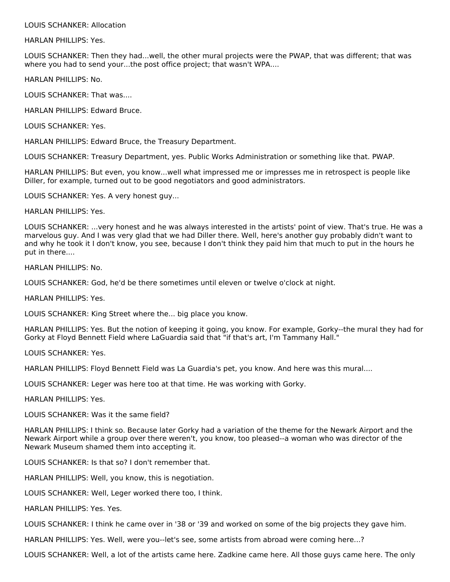LOUIS SCHANKER: Allocation

HARLAN PHILLIPS: Yes.

LOUIS SCHANKER: Then they had...well, the other mural projects were the PWAP, that was different; that was where you had to send your...the post office project; that wasn't WPA....

HARLAN PHILLIPS: No.

LOUIS SCHANKER: That was....

HARLAN PHILLIPS: Edward Bruce.

LOUIS SCHANKER: Yes.

HARLAN PHILLIPS: Edward Bruce, the Treasury Department.

LOUIS SCHANKER: Treasury Department, yes. Public Works Administration or something like that. PWAP.

HARLAN PHILLIPS: But even, you know...well what impressed me or impresses me in retrospect is people like Diller, for example, turned out to be good negotiators and good administrators.

LOUIS SCHANKER: Yes. A very honest guy...

HARLAN PHILLIPS: Yes.

LOUIS SCHANKER: ...very honest and he was always interested in the artists' point of view. That's true. He was a marvelous guy. And I was very glad that we had Diller there. Well, here's another guy probably didn't want to and why he took it I don't know, you see, because I don't think they paid him that much to put in the hours he put in there....

HARLAN PHILLIPS: No.

LOUIS SCHANKER: God, he'd be there sometimes until eleven or twelve o'clock at night.

HARLAN PHILLIPS: Yes.

LOUIS SCHANKER: King Street where the... big place you know.

HARLAN PHILLIPS: Yes. But the notion of keeping it going, you know. For example, Gorky--the mural they had for Gorky at Floyd Bennett Field where LaGuardia said that "if that's art, I'm Tammany Hall."

LOUIS SCHANKER: Yes.

HARLAN PHILLIPS: Floyd Bennett Field was La Guardia's pet, you know. And here was this mural....

LOUIS SCHANKER: Leger was here too at that time. He was working with Gorky.

HARLAN PHILLIPS: Yes.

LOUIS SCHANKER: Was it the same field?

HARLAN PHILLIPS: I think so. Because later Gorky had a variation of the theme for the Newark Airport and the Newark Airport while a group over there weren't, you know, too pleased--a woman who was director of the Newark Museum shamed them into accepting it.

LOUIS SCHANKER: Is that so? I don't remember that.

HARLAN PHILLIPS: Well, you know, this is negotiation.

LOUIS SCHANKER: Well, Leger worked there too, I think.

HARLAN PHILLIPS: Yes. Yes.

LOUIS SCHANKER: I think he came over in '38 or '39 and worked on some of the big projects they gave him.

HARLAN PHILLIPS: Yes. Well, were you--let's see, some artists from abroad were coming here...?

LOUIS SCHANKER: Well, a lot of the artists came here. Zadkine came here. All those guys came here. The only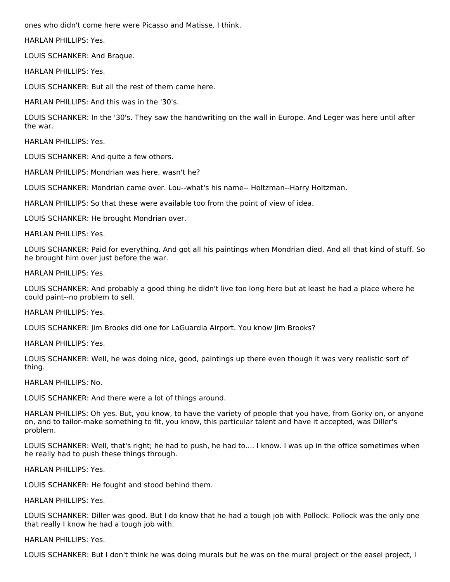ones who didn't come here were Picasso and Matisse, I think.

HARLAN PHILLIPS: Yes.

LOUIS SCHANKER: And Braque.

HARLAN PHILLIPS: Yes.

LOUIS SCHANKER: But all the rest of them came here.

HARLAN PHILLIPS: And this was in the '30's.

LOUIS SCHANKER: In the '30's. They saw the handwriting on the wall in Europe. And Leger was here until after the war.

HARLAN PHILLIPS: Yes.

LOUIS SCHANKER: And quite a few others.

HARLAN PHILLIPS: Mondrian was here, wasn't he?

LOUIS SCHANKER: Mondrian came over. Lou--what's his name-- Holtzman--Harry Holtzman.

HARLAN PHILLIPS: So that these were available too from the point of view of idea.

LOUIS SCHANKER: He brought Mondrian over.

HARLAN PHILLIPS: Yes.

LOUIS SCHANKER: Paid for everything. And got all his paintings when Mondrian died. And all that kind of stuff. So he brought him over just before the war.

HARLAN PHILLIPS: Yes.

LOUIS SCHANKER: And probably a good thing he didn't live too long here but at least he had a place where he could paint--no problem to sell.

HARLAN PHILLIPS: Yes.

LOUIS SCHANKER: Jim Brooks did one for LaGuardia Airport. You know Jim Brooks?

HARLAN PHILLIPS: Yes.

LOUIS SCHANKER: Well, he was doing nice, good, paintings up there even though it was very realistic sort of thing.

HARLAN PHILLIPS: No.

LOUIS SCHANKER: And there were a lot of things around.

HARLAN PHILLIPS: Oh yes. But, you know, to have the variety of people that you have, from Gorky on, or anyone on, and to tailor-make something to fit, you know, this particular talent and have it accepted, was Diller's problem.

LOUIS SCHANKER: Well, that's right; he had to push, he had to.... I know. I was up in the office sometimes when he really had to push these things through.

HARLAN PHILLIPS: Yes.

LOUIS SCHANKER: He fought and stood behind them.

HARLAN PHILLIPS: Yes.

LOUIS SCHANKER: Diller was good. But I do know that he had a tough job with Pollock. Pollock was the only one that really I know he had a tough job with.

HARLAN PHILLIPS: Yes.

LOUIS SCHANKER: But I don't think he was doing murals but he was on the mural project or the easel project, I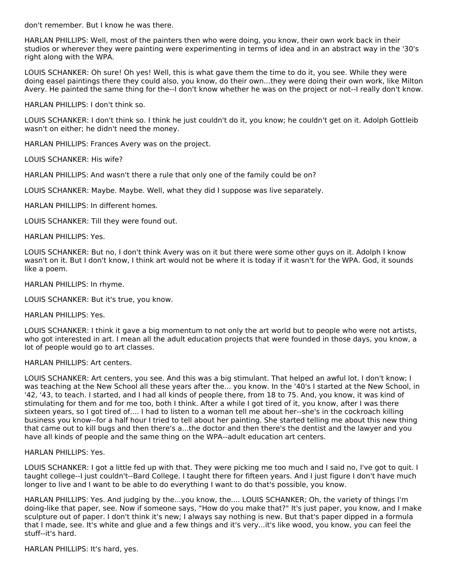don't remember. But I know he was there.

HARLAN PHILLIPS: Well, most of the painters then who were doing, you know, their own work back in their studios or wherever they were painting were experimenting in terms of idea and in an abstract way in the '30's right along with the WPA.

LOUIS SCHANKER: Oh sure! Oh yes! Well, this is what gave them the time to do it, you see. While they were doing easel paintings there they could also, you know, do their own...they were doing their own work, like Milton Avery. He painted the same thing for the--I don't know whether he was on the project or not--I really don't know.

HARLAN PHILLIPS: I don't think so.

LOUIS SCHANKER: I don't think so. I think he just couldn't do it, you know; he couldn't get on it. Adolph Gottleib wasn't on either; he didn't need the money.

HARLAN PHILLIPS: Frances Avery was on the project.

LOUIS SCHANKER: His wife?

HARLAN PHILLIPS: And wasn't there a rule that only one of the family could be on?

LOUIS SCHANKER: Maybe. Maybe. Well, what they did I suppose was live separately.

HARLAN PHILLIPS: In different homes.

LOUIS SCHANKER: Till they were found out.

HARLAN PHILLIPS: Yes.

LOUIS SCHANKER: But no, I don't think Avery was on it but there were some other guys on it. Adolph I know wasn't on it. But I don't know, I think art would not be where it is today if it wasn't for the WPA. God, it sounds like a poem.

HARLAN PHILLIPS: In rhyme.

LOUIS SCHANKER: But it's true, you know.

HARLAN PHILLIPS: Yes.

LOUIS SCHANKER: I think it gave a big momentum to not only the art world but to people who were not artists, who got interested in art. I mean all the adult education projects that were founded in those days, you know, a lot of people would go to art classes.

#### HARLAN PHILLIPS: Art centers.

LOUIS SCHANKER: Art centers, you see. And this was a big stimulant. That helped an awful lot. I don't know; I was teaching at the New School all these years after the... you know. In the '40's I started at the New School, in '42, '43, to teach. I started, and I had all kinds of people there, from 18 to 75. And, you know, it was kind of stimulating for them and for me too, both I think. After a while I got tired of it, you know, after I was there sixteen years, so I got tired of.... I had to listen to a woman tell me about her--she's in the cockroach killing business you know--for a half hour I tried to tell about her painting. She started telling me about this new thing that came out to kill bugs and then there's a...the doctor and then there's the dentist and the lawyer and you have all kinds of people and the same thing on the WPA--adult education art centers.

## HARLAN PHILLIPS: Yes.

LOUIS SCHANKER: I got a little fed up with that. They were picking me too much and I said no, I've got to quit. I taught college--I just couldn't--Bard College. I taught there for fifteen years. And I just figure I don't have much longer to live and I want to be able to do everything I want to do that's possible, you know.

HARLAN PHILLIPS: Yes. And judging by the...you know, the.... LOUIS SCHANKER; Oh, the variety of things I'm doing-like that paper, see. Now if someone says, "How do you make that?" It's just paper, you know, and I make sculpture out of paper. I don't think it's new; I always say nothing is new. But that's paper dipped in a formula that I made, see. It's white and glue and a few things and it's very...it's like wood, you know, you can feel the stuff--it's hard.

HARLAN PHILLIPS: It's hard, yes.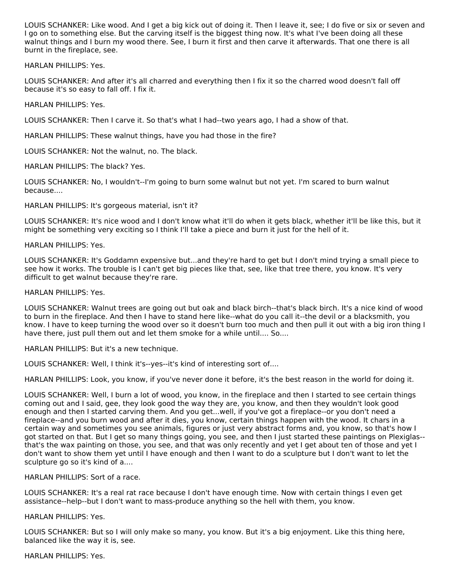LOUIS SCHANKER: Like wood. And I get a big kick out of doing it. Then I leave it, see; I do five or six or seven and I go on to something else. But the carving itself is the biggest thing now. It's what I've been doing all these walnut things and I burn my wood there. See, I burn it first and then carve it afterwards. That one there is all burnt in the fireplace, see.

HARLAN PHILLIPS: Yes.

LOUIS SCHANKER: And after it's all charred and everything then I fix it so the charred wood doesn't fall off because it's so easy to fall off. I fix it.

HARLAN PHILLIPS: Yes.

LOUIS SCHANKER: Then I carve it. So that's what I had--two years ago, I had a show of that.

HARLAN PHILLIPS: These walnut things, have you had those in the fire?

LOUIS SCHANKER: Not the walnut, no. The black.

HARLAN PHILLIPS: The black? Yes.

LOUIS SCHANKER: No, I wouldn't--I'm going to burn some walnut but not yet. I'm scared to burn walnut because....

HARLAN PHILLIPS: It's gorgeous material, isn't it?

LOUIS SCHANKER: It's nice wood and I don't know what it'll do when it gets black, whether it'll be like this, but it might be something very exciting so I think I'll take a piece and burn it just for the hell of it.

HARLAN PHILLIPS: Yes.

LOUIS SCHANKER: It's Goddamn expensive but...and they're hard to get but I don't mind trying a small piece to see how it works. The trouble is I can't get big pieces like that, see, like that tree there, you know. It's very difficult to get walnut because they're rare.

HARLAN PHILLIPS: Yes.

LOUIS SCHANKER: Walnut trees are going out but oak and black birch--that's black birch. It's a nice kind of wood to burn in the fireplace. And then I have to stand here like--what do you call it--the devil or a blacksmith, you know. I have to keep turning the wood over so it doesn't burn too much and then pull it out with a big iron thing I have there, just pull them out and let them smoke for a while until.... So....

HARLAN PHILLIPS: But it's a new technique.

LOUIS SCHANKER: Well, I think it's--yes--it's kind of interesting sort of....

HARLAN PHILLIPS: Look, you know, if you've never done it before, it's the best reason in the world for doing it.

LOUIS SCHANKER: Well, I burn a lot of wood, you know, in the fireplace and then I started to see certain things coming out and I said, gee, they look good the way they are, you know, and then they wouldn't look good enough and then I started carving them. And you get...well, if you've got a fireplace--or you don't need a fireplace--and you burn wood and after it dies, you know, certain things happen with the wood. It chars in a certain way and sometimes you see animals, figures or just very abstract forms and, you know, so that's how I got started on that. But I get so many things going, you see, and then I just started these paintings on Plexiglas- that's the wax painting on those, you see, and that was only recently and yet I get about ten of those and yet I don't want to show them yet until I have enough and then I want to do a sculpture but I don't want to let the sculpture go so it's kind of a....

HARLAN PHILLIPS: Sort of a race.

LOUIS SCHANKER: It's a real rat race because I don't have enough time. Now with certain things I even get assistance--help--but I don't want to mass-produce anything so the hell with them, you know.

HARLAN PHILLIPS: Yes.

LOUIS SCHANKER: But so I will only make so many, you know. But it's a big enjoyment. Like this thing here, balanced like the way it is, see.

HARLAN PHILLIPS: Yes.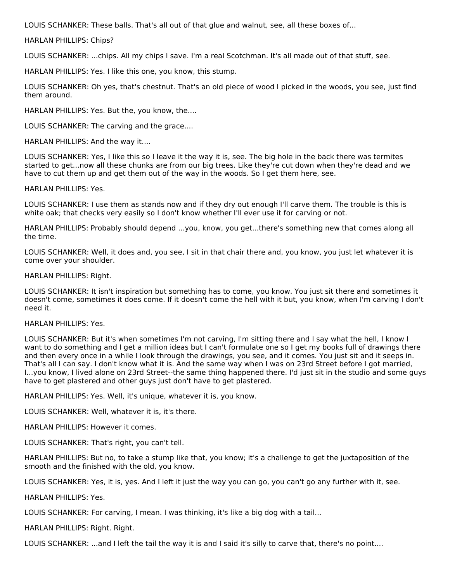LOUIS SCHANKER: These balls. That's all out of that glue and walnut, see, all these boxes of...

HARLAN PHILLIPS: Chips?

LOUIS SCHANKER: ...chips. All my chips I save. I'm a real Scotchman. It's all made out of that stuff, see.

HARLAN PHILLIPS: Yes. I like this one, you know, this stump.

LOUIS SCHANKER: Oh yes, that's chestnut. That's an old piece of wood I picked in the woods, you see, just find them around.

HARLAN PHILLIPS: Yes. But the, you know, the....

LOUIS SCHANKER: The carving and the grace....

HARLAN PHILLIPS: And the way it....

LOUIS SCHANKER: Yes, I like this so I leave it the way it is, see. The big hole in the back there was termites started to get...now all these chunks are from our big trees. Like they're cut down when they're dead and we have to cut them up and get them out of the way in the woods. So I get them here, see.

HARLAN PHILLIPS: Yes.

LOUIS SCHANKER: I use them as stands now and if they dry out enough I'll carve them. The trouble is this is white oak; that checks very easily so I don't know whether I'll ever use it for carving or not.

HARLAN PHILLIPS: Probably should depend ...you, know, you get...there's something new that comes along all the time.

LOUIS SCHANKER: Well, it does and, you see, I sit in that chair there and, you know, you just let whatever it is come over your shoulder.

HARLAN PHILLIPS: Right.

LOUIS SCHANKER: It isn't inspiration but something has to come, you know. You just sit there and sometimes it doesn't come, sometimes it does come. If it doesn't come the hell with it but, you know, when I'm carving I don't need it.

HARLAN PHILLIPS: Yes.

LOUIS SCHANKER: But it's when sometimes I'm not carving, I'm sitting there and I say what the hell, I know I want to do something and I get a million ideas but I can't formulate one so I get my books full of drawings there and then every once in a while I look through the drawings, you see, and it comes. You just sit and it seeps in. That's all I can say. I don't know what it is. And the same way when I was on 23rd Street before I got married, I...you know, I lived alone on 23rd Street--the same thing happened there. I'd just sit in the studio and some guys have to get plastered and other guys just don't have to get plastered.

HARLAN PHILLIPS: Yes. Well, it's unique, whatever it is, you know.

LOUIS SCHANKER: Well, whatever it is, it's there.

HARLAN PHILLIPS: However it comes.

LOUIS SCHANKER: That's right, you can't tell.

HARLAN PHILLIPS: But no, to take a stump like that, you know; it's a challenge to get the juxtaposition of the smooth and the finished with the old, you know.

LOUIS SCHANKER: Yes, it is, yes. And I left it just the way you can go, you can't go any further with it, see.

HARLAN PHILLIPS: Yes.

LOUIS SCHANKER: For carving, I mean. I was thinking, it's like a big dog with a tail...

HARLAN PHILLIPS: Right. Right.

LOUIS SCHANKER: ...and I left the tail the way it is and I said it's silly to carve that, there's no point....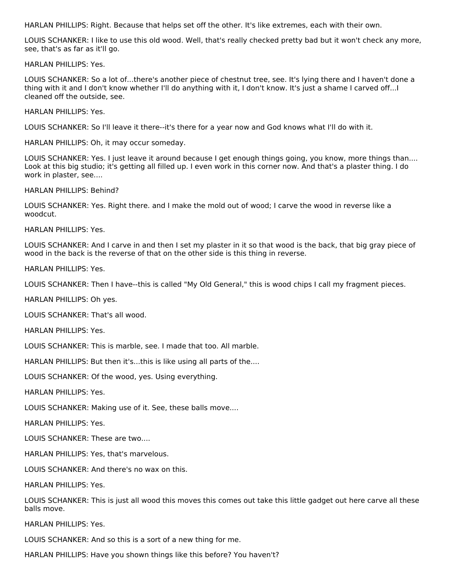HARLAN PHILLIPS: Right. Because that helps set off the other. It's like extremes, each with their own.

LOUIS SCHANKER: I like to use this old wood. Well, that's really checked pretty bad but it won't check any more, see, that's as far as it'll go.

HARLAN PHILLIPS: Yes.

LOUIS SCHANKER: So a lot of...there's another piece of chestnut tree, see. It's lying there and I haven't done a thing with it and I don't know whether I'll do anything with it, I don't know. It's just a shame I carved off...I cleaned off the outside, see.

HARLAN PHILLIPS: Yes.

LOUIS SCHANKER: So I'll leave it there--it's there for a year now and God knows what I'll do with it.

HARLAN PHILLIPS: Oh, it may occur someday.

LOUIS SCHANKER: Yes. I just leave it around because I get enough things going, you know, more things than.... Look at this big studio; it's getting all filled up. I even work in this corner now. And that's a plaster thing. I do work in plaster, see....

HARLAN PHILLIPS: Behind?

LOUIS SCHANKER: Yes. Right there. and I make the mold out of wood; I carve the wood in reverse like a woodcut.

HARLAN PHILLIPS: Yes.

LOUIS SCHANKER: And I carve in and then I set my plaster in it so that wood is the back, that big gray piece of wood in the back is the reverse of that on the other side is this thing in reverse.

HARLAN PHILLIPS: Yes.

LOUIS SCHANKER: Then I have--this is called "My Old General," this is wood chips I call my fragment pieces.

HARLAN PHILLIPS: Oh yes.

LOUIS SCHANKER: That's all wood.

HARLAN PHILLIPS: Yes.

LOUIS SCHANKER: This is marble, see. I made that too. All marble.

HARLAN PHILLIPS: But then it's...this is like using all parts of the....

LOUIS SCHANKER: Of the wood, yes. Using everything.

HARLAN PHILLIPS: Yes.

LOUIS SCHANKER: Making use of it. See, these balls move....

HARLAN PHILLIPS: Yes.

LOUIS SCHANKER: These are two....

HARLAN PHILLIPS: Yes, that's marvelous.

LOUIS SCHANKER: And there's no wax on this.

HARLAN PHILLIPS: Yes.

LOUIS SCHANKER: This is just all wood this moves this comes out take this little gadget out here carve all these balls move.

HARLAN PHILLIPS: Yes.

LOUIS SCHANKER: And so this is a sort of a new thing for me.

HARLAN PHILLIPS: Have you shown things like this before? You haven't?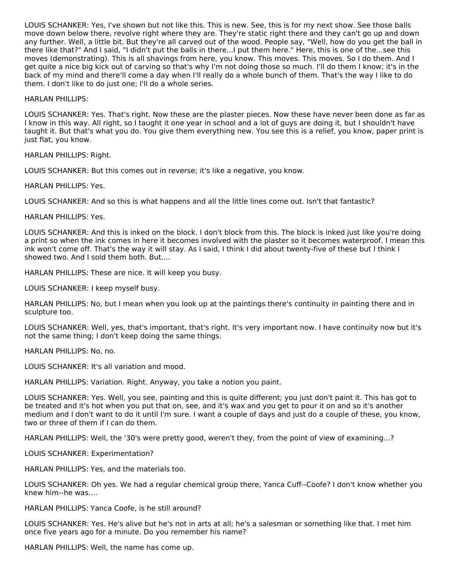LOUIS SCHANKER: Yes, I've shown but not like this. This is new. See, this is for my next show. See those balls move down below there, revolve right where they are. They're static right there and they can't go up and down any further. Well, a little bit. But they're all carved out of the wood. People say, "Well, how do you get the ball in there like that?" And I said, "I didn't put the balls in there...I put them here." Here, this is one of the...see this moves (demonstrating). This is all shavings from here, you know. This moves. This moves. So I do them. And I get quite a nice big kick out of carving so that's why I'm not doing those so much. I'll do them I know; it's in the back of my mind and there'll come a day when I'll really do a whole bunch of them. That's the way I like to do them. I don't like to do just one; I'll do a whole series.

HARLAN PHILLIPS:

LOUIS SCHANKER: Yes. That's right. Now these are the plaster pieces. Now these have never been done as far as I know in this way. All right, so I taught it one year in school and a lot of guys are doing it, but I shouldn't have taught it. But that's what you do. You give them everything new. You see this is a relief, you know, paper print is just flat, you know.

HARLAN PHILLIPS: Right.

LOUIS SCHANKER: But this comes out in reverse; it's like a negative, you know.

HARLAN PHILLIPS: Yes.

LOUIS SCHANKER: And so this is what happens and all the little lines come out. Isn't that fantastic?

HARLAN PHILLIPS: Yes.

LOUIS SCHANKER: And this is inked on the block. I don't block from this. The block is inked just like you're doing a print so when the ink comes in here it becomes involved with the plaster so it becomes waterproof. I mean this ink won't come off. That's the way it will stay. As I said, I think I did about twenty-five of these but I think I showed two. And I sold them both. But....

HARLAN PHILLIPS: These are nice. It will keep you busy.

LOUIS SCHANKER: I keep myself busy.

HARLAN PHILLIPS: No, but I mean when you look up at the paintings there's continuity in painting there and in sculpture too.

LOUIS SCHANKER: Well, yes, that's important, that's right. It's very important now. I have continuity now but it's not the same thing; I don't keep doing the same things.

HARLAN PHILLIPS: No, no.

LOUIS SCHANKER: It's all variation and mood.

HARLAN PHILLIPS: Variation. Right. Anyway, you take a notion you paint.

LOUIS SCHANKER: Yes. Well, you see, painting and this is quite different; you just don't paint it. This has got to be treated and it's hot when you put that on, see, and it's wax and you get to pour it on and so it's another medium and I don't want to do it until I'm sure. I want a couple of days and just do a couple of these, you know, two or three of them if I can do them.

HARLAN PHILLIPS: Well, the '30's were pretty good, weren't they, from the point of view of examining...?

LOUIS SCHANKER: Experimentation?

HARLAN PHILLIPS: Yes, and the materials too.

LOUIS SCHANKER: Oh yes. We had a regular chemical group there, Yanca Cuff--Coofe? I don't know whether you knew him--he was....

HARLAN PHILLIPS: Yanca Coofe, is he still around?

LOUIS SCHANKER: Yes. He's alive but he's not in arts at all; he's a salesman or something like that. I met him once five years ago for a minute. Do you remember his name?

HARLAN PHILLIPS: Well, the name has come up.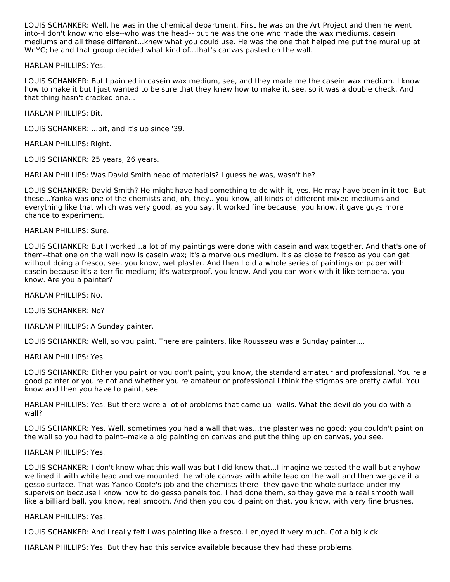LOUIS SCHANKER: Well, he was in the chemical department. First he was on the Art Project and then he went into--I don't know who else--who was the head-- but he was the one who made the wax mediums, casein mediums and all these different...knew what you could use. He was the one that helped me put the mural up at WnYC; he and that group decided what kind of...that's canvas pasted on the wall.

HARLAN PHILLIPS: Yes.

LOUIS SCHANKER: But I painted in casein wax medium, see, and they made me the casein wax medium. I know how to make it but I just wanted to be sure that they knew how to make it, see, so it was a double check. And that thing hasn't cracked one...

HARLAN PHILLIPS: Bit.

LOUIS SCHANKER: ...bit, and it's up since '39.

HARLAN PHILLIPS: Right.

LOUIS SCHANKER: 25 years, 26 years.

HARLAN PHILLIPS: Was David Smith head of materials? I guess he was, wasn't he?

LOUIS SCHANKER: David Smith? He might have had something to do with it, yes. He may have been in it too. But these...Yanka was one of the chemists and, oh, they...you know, all kinds of different mixed mediums and everything like that which was very good, as you say. It worked fine because, you know, it gave guys more chance to experiment.

HARLAN PHILLIPS: Sure.

LOUIS SCHANKER: But I worked...a lot of my paintings were done with casein and wax together. And that's one of them--that one on the wall now is casein wax; it's a marvelous medium. It's as close to fresco as you can get without doing a fresco, see, you know, wet plaster. And then I did a whole series of paintings on paper with casein because it's a terrific medium; it's waterproof, you know. And you can work with it like tempera, you know. Are you a painter?

HARLAN PHILLIPS: No.

LOUIS SCHANKER: No?

HARLAN PHILLIPS: A Sunday painter.

LOUIS SCHANKER: Well, so you paint. There are painters, like Rousseau was a Sunday painter....

HARLAN PHILLIPS: Yes.

LOUIS SCHANKER: Either you paint or you don't paint, you know, the standard amateur and professional. You're a good painter or you're not and whether you're amateur or professional I think the stigmas are pretty awful. You know and then you have to paint, see.

HARLAN PHILLIPS: Yes. But there were a lot of problems that came up--walls. What the devil do you do with a wall?

LOUIS SCHANKER: Yes. Well, sometimes you had a wall that was...the plaster was no good; you couldn't paint on the wall so you had to paint--make a big painting on canvas and put the thing up on canvas, you see.

## HARLAN PHILLIPS: Yes.

LOUIS SCHANKER: I don't know what this wall was but I did know that...I imagine we tested the wall but anyhow we lined it with white lead and we mounted the whole canvas with white lead on the wall and then we gave it a gesso surface. That was Yanco Coofe's job and the chemists there--they gave the whole surface under my supervision because I know how to do gesso panels too. I had done them, so they gave me a real smooth wall like a billiard ball, you know, real smooth. And then you could paint on that, you know, with very fine brushes.

## HARLAN PHILLIPS: Yes.

LOUIS SCHANKER: And I really felt I was painting like a fresco. I enjoyed it very much. Got a big kick.

HARLAN PHILLIPS: Yes. But they had this service available because they had these problems.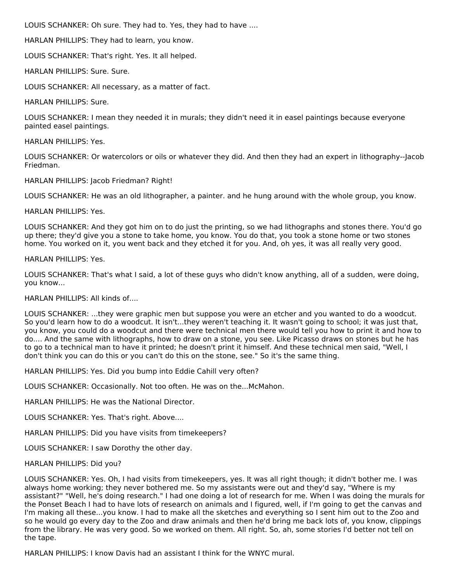LOUIS SCHANKER: Oh sure. They had to. Yes, they had to have ....

HARLAN PHILLIPS: They had to learn, you know.

LOUIS SCHANKER: That's right. Yes. It all helped.

HARLAN PHILLIPS: Sure. Sure.

LOUIS SCHANKER: All necessary, as a matter of fact.

HARLAN PHILLIPS: Sure.

LOUIS SCHANKER: I mean they needed it in murals; they didn't need it in easel paintings because everyone painted easel paintings.

HARLAN PHILLIPS: Yes.

LOUIS SCHANKER: Or watercolors or oils or whatever they did. And then they had an expert in lithography--Jacob Friedman.

HARLAN PHILLIPS: Jacob Friedman? Right!

LOUIS SCHANKER: He was an old lithographer, a painter. and he hung around with the whole group, you know.

HARLAN PHILLIPS: Yes.

LOUIS SCHANKER: And they got him on to do just the printing, so we had lithographs and stones there. You'd go up there; they'd give you a stone to take home, you know. You do that, you took a stone home or two stones home. You worked on it, you went back and they etched it for you. And, oh yes, it was all really very good.

HARLAN PHILLIPS: Yes.

LOUIS SCHANKER: That's what I said, a lot of these guys who didn't know anything, all of a sudden, were doing, you know...

HARLAN PHILLIPS: All kinds of....

LOUIS SCHANKER: ...they were graphic men but suppose you were an etcher and you wanted to do a woodcut. So you'd learn how to do a woodcut. It isn't...they weren't teaching it. It wasn't going to school; it was just that, you know, you could do a woodcut and there were technical men there would tell you how to print it and how to do.... And the same with lithographs, how to draw on a stone, you see. Like Picasso draws on stones but he has to go to a technical man to have it printed; he doesn't print it himself. And these technical men said, "Well, I don't think you can do this or you can't do this on the stone, see." So it's the same thing.

HARLAN PHILLIPS: Yes. Did you bump into Eddie Cahill very often?

LOUIS SCHANKER: Occasionally. Not too often. He was on the...McMahon.

HARLAN PHILLIPS: He was the National Director.

LOUIS SCHANKER: Yes. That's right. Above....

HARLAN PHILLIPS: Did you have visits from timekeepers?

LOUIS SCHANKER: I saw Dorothy the other day.

## HARLAN PHILLIPS: Did you?

LOUIS SCHANKER: Yes. Oh, I had visits from timekeepers, yes. It was all right though; it didn't bother me. I was always home working; they never bothered me. So my assistants were out and they'd say, "Where is my assistant?" "Well, he's doing research." I had one doing a lot of research for me. When I was doing the murals for the Ponset Beach I had to have lots of research on animals and I figured, well, if I'm going to get the canvas and I'm making all these...you know. I had to make all the sketches and everything so I sent him out to the Zoo and so he would go every day to the Zoo and draw animals and then he'd bring me back lots of, you know, clippings from the library. He was very good. So we worked on them. All right. So, ah, some stories I'd better not tell on the tape.

HARLAN PHILLIPS: I know Davis had an assistant I think for the WNYC mural.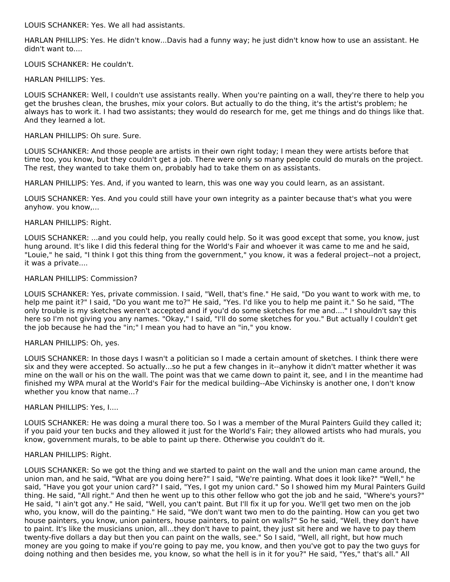LOUIS SCHANKER: Yes. We all had assistants.

HARLAN PHILLIPS: Yes. He didn't know...Davis had a funny way; he just didn't know how to use an assistant. He didn't want to....

LOUIS SCHANKER: He couldn't.

HARLAN PHILLIPS: Yes.

LOUIS SCHANKER: Well, I couldn't use assistants really. When you're painting on a wall, they're there to help you get the brushes clean, the brushes, mix your colors. But actually to do the thing, it's the artist's problem; he always has to work it. I had two assistants; they would do research for me, get me things and do things like that. And they learned a lot.

## HARLAN PHILLIPS: Oh sure. Sure.

LOUIS SCHANKER: And those people are artists in their own right today; I mean they were artists before that time too, you know, but they couldn't get a job. There were only so many people could do murals on the project. The rest, they wanted to take them on, probably had to take them on as assistants.

HARLAN PHILLIPS: Yes. And, if you wanted to learn, this was one way you could learn, as an assistant.

LOUIS SCHANKER: Yes. And you could still have your own integrity as a painter because that's what you were anyhow. you know,...

## HARLAN PHILLIPS: Right.

LOUIS SCHANKER: ...and you could help, you really could help. So it was good except that some, you know, just hung around. It's like I did this federal thing for the World's Fair and whoever it was came to me and he said, "Louie," he said, "I think I got this thing from the government," you know, it was a federal project--not a project, it was a private....

## HARLAN PHILLIPS: Commission?

LOUIS SCHANKER: Yes, private commission. I said, "Well, that's fine." He said, "Do you want to work with me, to help me paint it?" I said, "Do you want me to?" He said, "Yes. I'd like you to help me paint it." So he said, "The only trouble is my sketches weren't accepted and if you'd do some sketches for me and...." I shouldn't say this here so I'm not giving you any names. "Okay," I said, "I'll do some sketches for you." But actually I couldn't get the job because he had the "in;" I mean you had to have an "in," you know.

## HARLAN PHILLIPS: Oh, yes.

LOUIS SCHANKER: In those days I wasn't a politician so I made a certain amount of sketches. I think there were six and they were accepted. So actually...so he put a few changes in it--anyhow it didn't matter whether it was mine on the wall or his on the wall. The point was that we came down to paint it, see, and I in the meantime had finished my WPA mural at the World's Fair for the medical building--Abe Vichinsky is another one, I don't know whether you know that name...?

## HARLAN PHILLIPS: Yes, I....

LOUIS SCHANKER: He was doing a mural there too. So I was a member of the Mural Painters Guild they called it; if you paid your ten bucks and they allowed it just for the World's Fair; they allowed artists who had murals, you know, government murals, to be able to paint up there. Otherwise you couldn't do it.

## HARLAN PHILLIPS: Right.

LOUIS SCHANKER: So we got the thing and we started to paint on the wall and the union man came around, the union man, and he said, "What are you doing here?" I said, "We're painting. What does it look like?" "Well," he said, "Have you got your union card?" I said, "Yes, I got my union card." So I showed him my Mural Painters Guild thing. He said, "All right." And then he went up to this other fellow who got the job and he said, "Where's yours?" He said, "I ain't got any." He said, "Well, you can't paint. But I'll fix it up for you. We'll get two men on the job who, you know, will do the painting." He said, "We don't want two men to do the painting. How can you get two house painters, you know, union painters, house painters, to paint on walls?" So he said, "Well, they don't have to paint. It's like the musicians union, all...they don't have to paint, they just sit here and we have to pay them twenty-five dollars a day but then you can paint on the walls, see." So I said, "Well, all right, but how much money are you going to make if you're going to pay me, you know, and then you've got to pay the two guys for doing nothing and then besides me, you know, so what the hell is in it for you?" He said, "Yes," that's all." All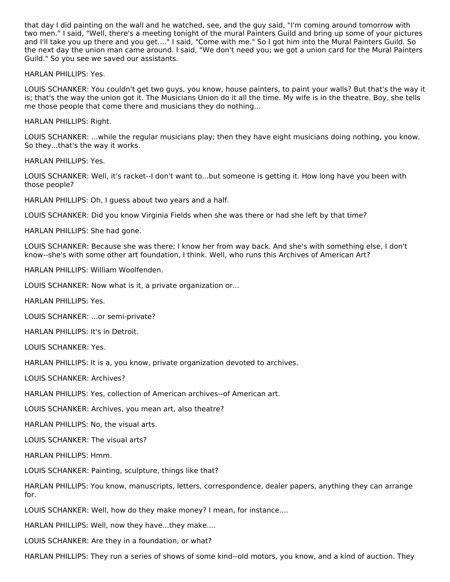that day I did painting on the wall and he watched, see, and the guy said, "I'm coming around tomorrow with two men." I said, "Well, there's a meeting tonight of the mural Painters Guild and bring up some of your pictures and I'll take you up there and you get...." I said, "Come with me." So I got him into the Mural Painters Guild. So the next day the union man came around. I said, "We don't need you; we got a union card for the Mural Painters Guild." So you see we saved our assistants.

HARLAN PHILLIPS: Yes.

LOUIS SCHANKER: You couldn't get two guys, you know, house painters, to paint your walls? But that's the way it is; that's the way the union got it. The Musicians Union do it all the time. My wife is in the theatre. Boy, she tells me those people that come there and musicians they do nothing...

HARLAN PHILLIPS: Right.

LOUIS SCHANKER: ...while the regular musicians play; then they have eight musicians doing nothing, you know. So they...that's the way it works.

HARLAN PHILLIPS: Yes.

LOUIS SCHANKER: Well, it's racket--I don't want to...but someone is getting it. How long have you been with those people?

HARLAN PHILLIPS: Oh, I guess about two years and a half.

LOUIS SCHANKER: Did you know Virginia Fields when she was there or had she left by that time?

HARLAN PHILLIPS: She had gone.

LOUIS SCHANKER: Because she was there; I know her from way back. And she's with something else, I don't know--she's with some other art foundation, I think. Well, who runs this Archives of American Art?

HARLAN PHILLIPS: William Woolfenden.

LOUIS SCHANKER: Now what is it, a private organization or...

HARLAN PHILLIPS: Yes.

LOUIS SCHANKER: ...or semi-private?

HARLAN PHILLIPS: It's in Detroit.

LOUIS SCHANKER: Yes.

HARLAN PHILLIPS: It is a, you know, private organization devoted to archives.

LOUIS SCHANKER: Archives?

HARLAN PHILLIPS: Yes, collection of American archives--of American art.

LOUIS SCHANKER: Archives, you mean art, also theatre?

HARLAN PHILLIPS: No, the visual arts.

LOUIS SCHANKER: The visual arts?

HARLAN PHILLIPS: Hmm.

LOUIS SCHANKER: Painting, sculpture, things like that?

HARLAN PHILLIPS: You know, manuscripts, letters, correspondence, dealer papers, anything they can arrange for.

LOUIS SCHANKER: Well, how do they make money? I mean, for instance....

HARLAN PHILLIPS: Well, now they have...they make....

LOUIS SCHANKER: Are they in a foundation, or what?

HARLAN PHILLIPS: They run a series of shows of some kind--old motors, you know, and a kind of auction. They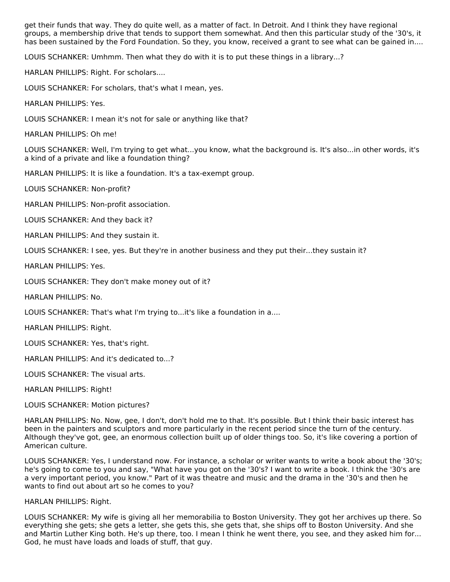get their funds that way. They do quite well, as a matter of fact. In Detroit. And I think they have regional groups, a membership drive that tends to support them somewhat. And then this particular study of the '30's, it has been sustained by the Ford Foundation. So they, you know, received a grant to see what can be gained in....

LOUIS SCHANKER: Umhmm. Then what they do with it is to put these things in a library...?

HARLAN PHILLIPS: Right. For scholars....

LOUIS SCHANKER: For scholars, that's what I mean, yes.

HARLAN PHILLIPS: Yes.

LOUIS SCHANKER: I mean it's not for sale or anything like that?

HARLAN PHILLIPS: Oh me!

LOUIS SCHANKER: Well, I'm trying to get what...you know, what the background is. It's also...in other words, it's a kind of a private and like a foundation thing?

HARLAN PHILLIPS: It is like a foundation. It's a tax-exempt group.

LOUIS SCHANKER: Non-profit?

HARLAN PHILLIPS: Non-profit association.

LOUIS SCHANKER: And they back it?

HARLAN PHILLIPS: And they sustain it.

LOUIS SCHANKER: I see, yes. But they're in another business and they put their...they sustain it?

HARLAN PHILLIPS: Yes.

LOUIS SCHANKER: They don't make money out of it?

HARLAN PHILLIPS: No.

LOUIS SCHANKER: That's what I'm trying to...it's like a foundation in a....

HARLAN PHILLIPS: Right.

LOUIS SCHANKER: Yes, that's right.

HARLAN PHILLIPS: And it's dedicated to...?

LOUIS SCHANKER: The visual arts.

HARLAN PHILLIPS: Right!

LOUIS SCHANKER: Motion pictures?

HARLAN PHILLIPS: No. Now, gee, I don't, don't hold me to that. It's possible. But I think their basic interest has been in the painters and sculptors and more particularly in the recent period since the turn of the century. Although they've got, gee, an enormous collection built up of older things too. So, it's like covering a portion of American culture.

LOUIS SCHANKER: Yes, I understand now. For instance, a scholar or writer wants to write a book about the '30's; he's going to come to you and say, "What have you got on the '30's? I want to write a book. I think the '30's are a very important period, you know." Part of it was theatre and music and the drama in the '30's and then he wants to find out about art so he comes to you?

HARLAN PHILLIPS: Right.

LOUIS SCHANKER: My wife is giving all her memorabilia to Boston University. They got her archives up there. So everything she gets; she gets a letter, she gets this, she gets that, she ships off to Boston University. And she and Martin Luther King both. He's up there, too. I mean I think he went there, you see, and they asked him for... God, he must have loads and loads of stuff, that guy.